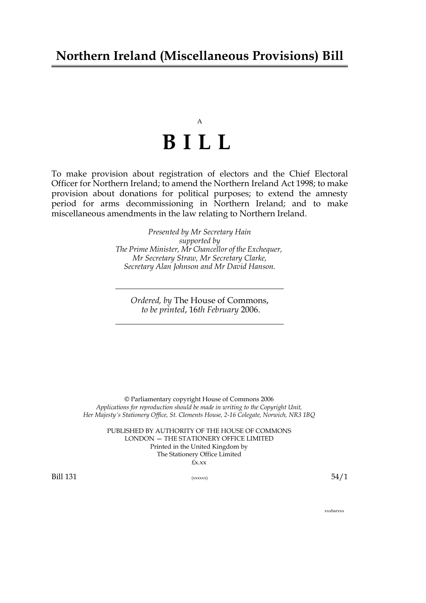# A **BILL**

To make provision about registration of electors and the Chief Electoral Officer for Northern Ireland; to amend the Northern Ireland Act 1998; to make provision about donations for political purposes; to extend the amnesty period for arms decommissioning in Northern Ireland; and to make miscellaneous amendments in the law relating to Northern Ireland.

> *Presented by Mr Secretary Hain supported by The Prime Minister, Mr Chancellor of the Exchequer, Mr Secretary Straw, Mr Secretary Clarke, Secretary Alan Johnson and Mr David Hanson.*

*Ordered, by* The House of Commons, *to be printed*, 16*th February* 2006.

© Parliamentary copyright House of Commons 2006 *Applications for reproduction should be made in writing to the Copyright Unit, Her Majesty's Stationery Office, St. Clements House, 2-16 Colegate, Norwich, NR3 1BQ*

PUBLISHED BY AUTHORITY OF THE HOUSE OF COMMONS LONDON — THE STATIONERY OFFICE LIMITED Printed in the United Kingdom by The Stationery Office Limited £x.xx

 $\frac{34}{1}$  54/1

xxxbarxxx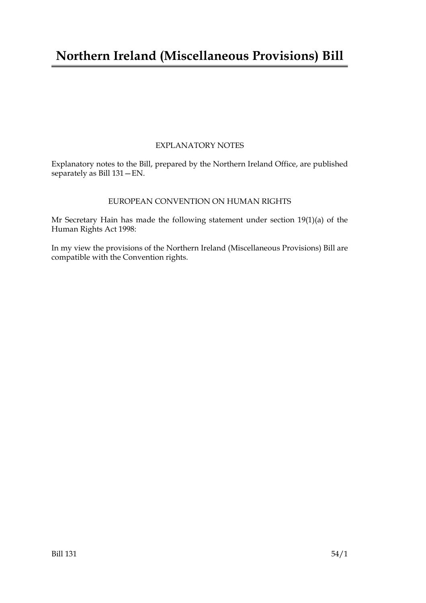## **Northern Ireland (Miscellaneous Provisions) Bill**

#### EXPLANATORY NOTES

Explanatory notes to the Bill, prepared by the Northern Ireland Office, are published separately as Bill 131—EN.

#### EUROPEAN CONVENTION ON HUMAN RIGHTS

Mr Secretary Hain has made the following statement under section 19(1)(a) of the Human Rights Act 1998:

In my view the provisions of the Northern Ireland (Miscellaneous Provisions) Bill are compatible with the Convention rights.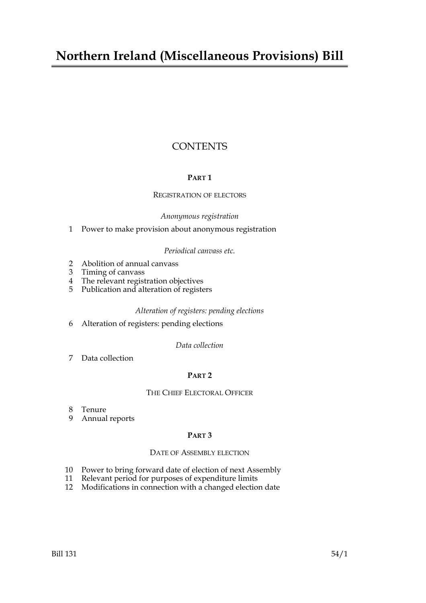## **CONTENTS**

#### **PART 1**

#### REGISTRATION OF ELECTORS

#### *Anonymous registration*

1 Power to make provision about anonymous registration

#### *Periodical canvass etc.*

- 2 Abolition of annual canvass
- 3 Timing of canvass
- 4 The relevant registration objectives
- 5 Publication and alteration of registers

#### *Alteration of registers: pending elections*

6 Alteration of registers: pending elections

*Data collection*

7 Data collection

#### **PART 2**

#### THE CHIEF ELECTORAL OFFICER

- 8 Tenure
- 9 Annual reports

#### **PART 3**

#### DATE OF ASSEMBLY ELECTION

- 10 Power to bring forward date of election of next Assembly
- 11 Relevant period for purposes of expenditure limits
- 12 Modifications in connection with a changed election date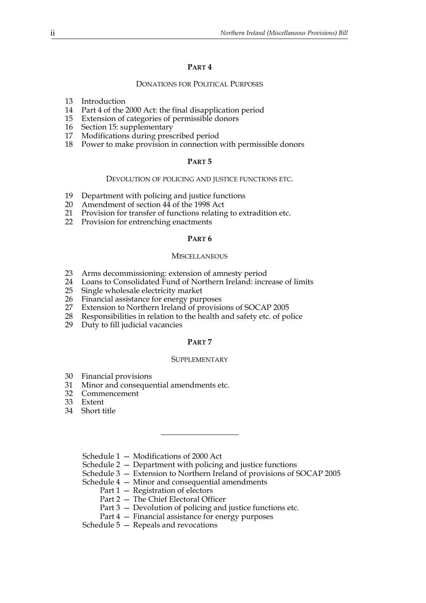#### **PART 4**

#### DONATIONS FOR POLITICAL PURPOSES

- 13 Introduction
- 14 Part 4 of the 2000 Act: the final disapplication period
- 15 Extension of categories of permissible donors
- 16 Section 15: supplementary
- 17 Modifications during prescribed period
- 18 Power to make provision in connection with permissible donors

#### **PART 5**

#### DEVOLUTION OF POLICING AND JUSTICE FUNCTIONS ETC.

- 19 Department with policing and justice functions
- 20 Amendment of section 44 of the 1998 Act<br>21 Provision for transfer of functions relating
- Provision for transfer of functions relating to extradition etc.
- 22 Provision for entrenching enactments

#### **PART 6**

#### **MISCELLANEOUS**

- 23 Arms decommissioning: extension of amnesty period
- 24 Loans to Consolidated Fund of Northern Ireland: increase of limits
- 25 Single wholesale electricity market
- 26 Financial assistance for energy purposes
- 27 Extension to Northern Ireland of provisions of SOCAP 2005
- 28 Responsibilities in relation to the health and safety etc. of police
- 29 Duty to fill judicial vacancies

#### **PART 7**

#### **SUPPLEMENTARY**

- 30 Financial provisions
- 31 Minor and consequential amendments etc.
- 32 Commencement
- 33 Extent
- 34 Short title
	- Schedule 1 Modifications of 2000 Act
	- Schedule 2 Department with policing and justice functions
	- Schedule 3 Extension to Northern Ireland of provisions of SOCAP 2005
	- Schedule 4 Minor and consequential amendments
		- Part 1 Registration of electors
		- Part 2 The Chief Electoral Officer
		- Part 3 Devolution of policing and justice functions etc.
		- Part 4 Financial assistance for energy purposes
	- Schedule 5 Repeals and revocations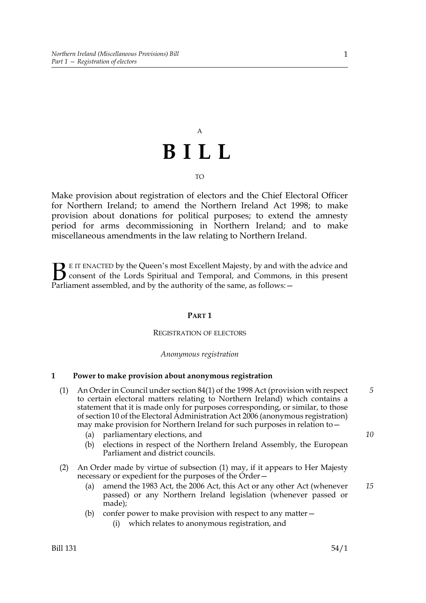# A **BILL**

#### TO

Make provision about registration of electors and the Chief Electoral Officer for Northern Ireland; to amend the Northern Ireland Act 1998; to make provision about donations for political purposes; to extend the amnesty period for arms decommissioning in Northern Ireland; and to make miscellaneous amendments in the law relating to Northern Ireland.

E IT ENACTED by the Queen's most Excellent Majesty, by and with the advice and consent of the Lords Spiritual and Temporal, and Commons, in this present **B** E IT ENACTED by the Queen's most Excellent Majesty, by and with consent of the Lords Spiritual and Temporal, and Commons, Parliament assembled, and by the authority of the same, as follows:  $-$ 

#### **PART 1**

#### REGISTRATION OF ELECTORS

#### *Anonymous registration*

#### **1 Power to make provision about anonymous registration**

- (1) An Order in Council under section 84(1) of the 1998 Act (provision with respect to certain electoral matters relating to Northern Ireland) which contains a statement that it is made only for purposes corresponding, or similar, to those of section 10 of the Electoral Administration Act 2006 (anonymous registration) may make provision for Northern Ireland for such purposes in relation to—
	- (a) parliamentary elections, and
	- (b) elections in respect of the Northern Ireland Assembly, the European Parliament and district councils.
- (2) An Order made by virtue of subsection (1) may, if it appears to Her Majesty necessary or expedient for the purposes of the Order—
	- (a) amend the 1983 Act, the 2006 Act, this Act or any other Act (whenever passed) or any Northern Ireland legislation (whenever passed or made); *15*
	- (b) confer power to make provision with respect to any matter—
		- (i) which relates to anonymous registration, and

*10*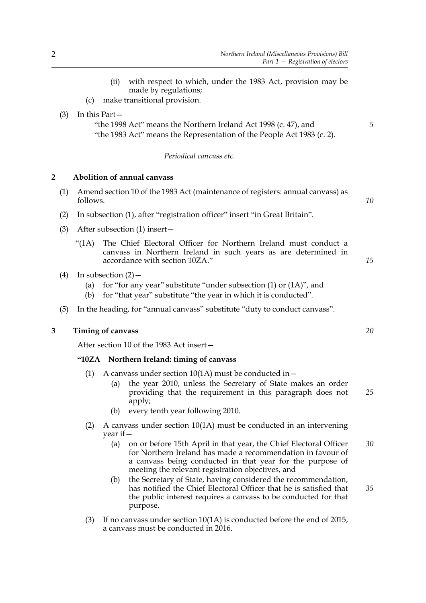- (ii) with respect to which, under the 1983 Act, provision may be made by regulations;
- (c) make transitional provision.
- (3) In this Part— "the 1998 Act" means the Northern Ireland Act 1998 (c. 47), and "the 1983 Act" means the Representation of the People Act 1983 (c. 2).

#### *Periodical canvass etc.*

#### **2 Abolition of annual canvass**

- (1) Amend section 10 of the 1983 Act (maintenance of registers: annual canvass) as follows.
- (2) In subsection (1), after "registration officer" insert "in Great Britain".
- (3) After subsection (1) insert—
	- "(1A) The Chief Electoral Officer for Northern Ireland must conduct a canvass in Northern Ireland in such years as are determined in accordance with section 10ZA."
- (4) In subsection  $(2)$ 
	- (a) for "for any year" substitute "under subsection  $(1)$  or  $(1A)$ ", and
	- (b) for "that year" substitute "the year in which it is conducted".
- (5) In the heading, for "annual canvass" substitute "duty to conduct canvass".

#### **3 Timing of canvass**

After section 10 of the 1983 Act insert—

#### **"10ZA Northern Ireland: timing of canvass**

- (1) A canvass under section  $10(1A)$  must be conducted in  $-$ 
	- (a) the year 2010, unless the Secretary of State makes an order providing that the requirement in this paragraph does not apply; *25*
	- (b) every tenth year following 2010.
- (2) A canvass under section 10(1A) must be conducted in an intervening year if—
	- (a) on or before 15th April in that year, the Chief Electoral Officer for Northern Ireland has made a recommendation in favour of a canvass being conducted in that year for the purpose of meeting the relevant registration objectives, and *30*
	- (b) the Secretary of State, having considered the recommendation, has notified the Chief Electoral Officer that he is satisfied that the public interest requires a canvass to be conducted for that purpose.
- (3) If no canvass under section 10(1A) is conducted before the end of 2015, a canvass must be conducted in 2016.

*20*

*35*

*5*

*10*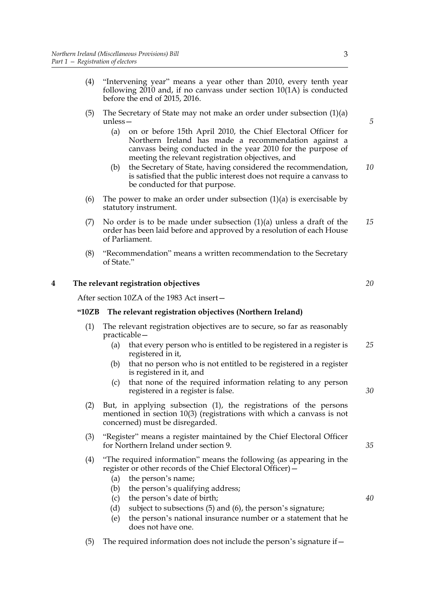- (4) "Intervening year" means a year other than 2010, every tenth year following 2010 and, if no canvass under section 10(1A) is conducted before the end of 2015, 2016.
- (5) The Secretary of State may not make an order under subsection (1)(a) unless—
	- (a) on or before 15th April 2010, the Chief Electoral Officer for Northern Ireland has made a recommendation against a canvass being conducted in the year 2010 for the purpose of meeting the relevant registration objectives, and
	- (b) the Secretary of State, having considered the recommendation, is satisfied that the public interest does not require a canvass to be conducted for that purpose. *10*
- (6) The power to make an order under subsection  $(1)(a)$  is exercisable by statutory instrument.
- (7) No order is to be made under subsection (1)(a) unless a draft of the order has been laid before and approved by a resolution of each House of Parliament. *15*
- (8) "Recommendation" means a written recommendation to the Secretary of State."

#### **4 The relevant registration objectives**

After section 10ZA of the 1983 Act insert—

#### **"10ZB The relevant registration objectives (Northern Ireland)**

- (1) The relevant registration objectives are to secure, so far as reasonably practicable—
	- (a) that every person who is entitled to be registered in a register is registered in it, *25*
	- (b) that no person who is not entitled to be registered in a register is registered in it, and
	- (c) that none of the required information relating to any person registered in a register is false.
- (2) But, in applying subsection (1), the registrations of the persons mentioned in section 10(3) (registrations with which a canvass is not concerned) must be disregarded.
- (3) "Register" means a register maintained by the Chief Electoral Officer for Northern Ireland under section 9.
- (4) "The required information" means the following (as appearing in the register or other records of the Chief Electoral Officer)—
	- (a) the person's name;
	- (b) the person's qualifying address;
	- (c) the person's date of birth;
	- (d) subject to subsections (5) and (6), the person's signature;
	- (e) the person's national insurance number or a statement that he does not have one.
- (5) The required information does not include the person's signature if  $-$

*35*

*30*

*40*

*20*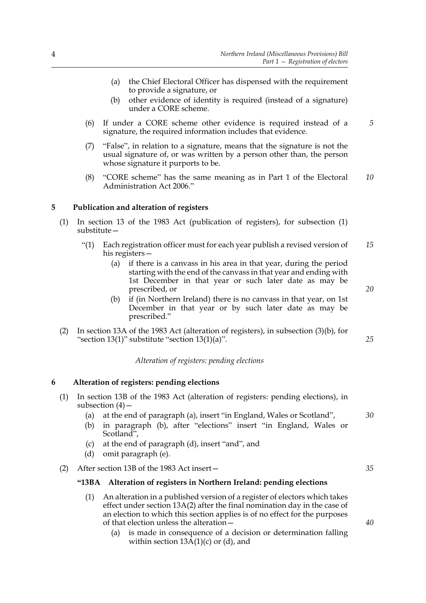- (a) the Chief Electoral Officer has dispensed with the requirement to provide a signature, or
- (b) other evidence of identity is required (instead of a signature) under a CORE scheme.
- (6) If under a CORE scheme other evidence is required instead of a signature, the required information includes that evidence. *5*
- (7) "False", in relation to a signature, means that the signature is not the usual signature of, or was written by a person other than, the person whose signature it purports to be.
- (8) "CORE scheme" has the same meaning as in Part 1 of the Electoral Administration Act 2006." *10*

#### **5 Publication and alteration of registers**

- (1) In section 13 of the 1983 Act (publication of registers), for subsection (1) substitute—
	- "(1) Each registration officer must for each year publish a revised version of his registers— *15*
		- (a) if there is a canvass in his area in that year, during the period starting with the end of the canvass in that year and ending with 1st December in that year or such later date as may be prescribed, or
		- (b) if (in Northern Ireland) there is no canvass in that year, on 1st December in that year or by such later date as may be prescribed."
- (2) In section 13A of the 1983 Act (alteration of registers), in subsection (3)(b), for "section  $13(1)$ " substitute "section  $13(1)(a)$ ".

*Alteration of registers: pending elections*

#### **6 Alteration of registers: pending elections**

- (1) In section 13B of the 1983 Act (alteration of registers: pending elections), in subsection (4)—
	- (a) at the end of paragraph (a), insert "in England, Wales or Scotland",
	- (b) in paragraph (b), after "elections" insert "in England, Wales or Scotland",
	- (c) at the end of paragraph (d), insert "and", and
	- (d) omit paragraph (e).
- (2) After section 13B of the 1983 Act insert—

#### **"13BA Alteration of registers in Northern Ireland: pending elections**

- (1) An alteration in a published version of a register of electors which takes effect under section 13A(2) after the final nomination day in the case of an election to which this section applies is of no effect for the purposes of that election unless the alteration—
	- (a) is made in consequence of a decision or determination falling within section  $13\overline{A}(1)(c)$  or (d), and

*25*

*20*

*35*

*30*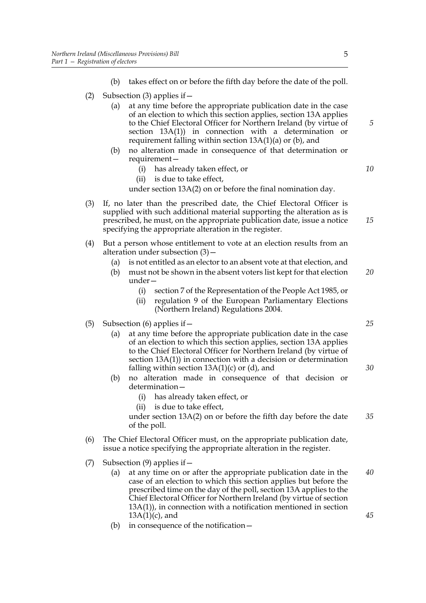- (b) takes effect on or before the fifth day before the date of the poll.
- (2) Subsection (3) applies if  $-$ 
	- (a) at any time before the appropriate publication date in the case of an election to which this section applies, section 13A applies to the Chief Electoral Officer for Northern Ireland (by virtue of section 13A(1)) in connection with a determination or requirement falling within section 13A(1)(a) or (b), and
	- (b) no alteration made in consequence of that determination or requirement—
		- (i) has already taken effect, or
		- (ii) is due to take effect,

under section 13A(2) on or before the final nomination day.

- (3) If, no later than the prescribed date, the Chief Electoral Officer is supplied with such additional material supporting the alteration as is prescribed, he must, on the appropriate publication date, issue a notice specifying the appropriate alteration in the register. *15*
- (4) But a person whose entitlement to vote at an election results from an alteration under subsection (3)—
	- (a) is not entitled as an elector to an absent vote at that election, and
	- (b) must not be shown in the absent voters list kept for that election under— *20*
		- (i) section 7 of the Representation of the People Act 1985, or
		- (ii) regulation 9 of the European Parliamentary Elections (Northern Ireland) Regulations 2004.
- (5) Subsection (6) applies if  $-$ 
	- (a) at any time before the appropriate publication date in the case of an election to which this section applies, section 13A applies to the Chief Electoral Officer for Northern Ireland (by virtue of section 13A(1)) in connection with a decision or determination falling within section  $13A(1)(c)$  or (d), and
	- (b) no alteration made in consequence of that decision or determination—
		- (i) has already taken effect, or
		- (ii) is due to take effect,

under section 13A(2) on or before the fifth day before the date of the poll. *35*

- (6) The Chief Electoral Officer must, on the appropriate publication date, issue a notice specifying the appropriate alteration in the register.
- (7) Subsection (9) applies if—
	- (a) at any time on or after the appropriate publication date in the case of an election to which this section applies but before the prescribed time on the day of the poll, section 13A applies to the Chief Electoral Officer for Northern Ireland (by virtue of section 13A(1)), in connection with a notification mentioned in section  $13A(1)(c)$ , and *40 45*
	- (b) in consequence of the notification—

*5*

*10*

*25*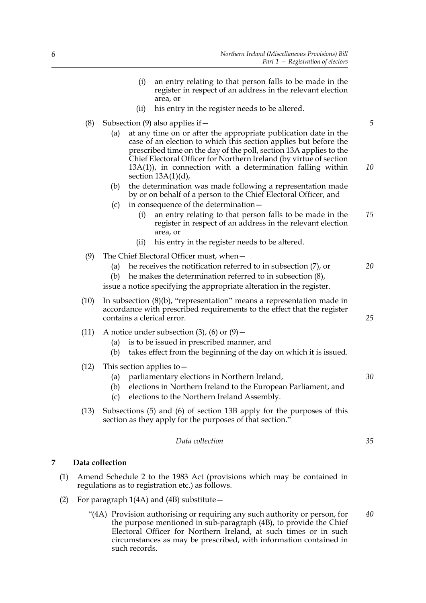- (i) an entry relating to that person falls to be made in the register in respect of an address in the relevant election area, or
- (ii) his entry in the register needs to be altered.
- (8) Subsection (9) also applies if  $-$ 
	- (a) at any time on or after the appropriate publication date in the case of an election to which this section applies but before the prescribed time on the day of the poll, section 13A applies to the Chief Electoral Officer for Northern Ireland (by virtue of section 13A(1)), in connection with a determination falling within section  $13A(1)(d)$ , *10*
	- (b) the determination was made following a representation made by or on behalf of a person to the Chief Electoral Officer, and
	- (c) in consequence of the determination—
		- (i) an entry relating to that person falls to be made in the register in respect of an address in the relevant election area, or *15*
		- (ii) his entry in the register needs to be altered.
- (9) The Chief Electoral Officer must, when—
	- (a) he receives the notification referred to in subsection (7), or *20*
	- (b) he makes the determination referred to in subsection (8),
	- issue a notice specifying the appropriate alteration in the register.
- (10) In subsection (8)(b), "representation" means a representation made in accordance with prescribed requirements to the effect that the register contains a clerical error.
- (11) A notice under subsection  $(3)$ ,  $(6)$  or  $(9)$ 
	- (a) is to be issued in prescribed manner, and
	- (b) takes effect from the beginning of the day on which it is issued.
- (12) This section applies to—
	- (a) parliamentary elections in Northern Ireland,
	- (b) elections in Northern Ireland to the European Parliament, and
	- (c) elections to the Northern Ireland Assembly.
- (13) Subsections (5) and (6) of section 13B apply for the purposes of this section as they apply for the purposes of that section."

*Data collection*

#### **7 Data collection**

- (1) Amend Schedule 2 to the 1983 Act (provisions which may be contained in regulations as to registration etc.) as follows.
- (2) For paragraph  $1(4A)$  and  $(4B)$  substitute  $-$ 
	- "(4A) Provision authorising or requiring any such authority or person, for the purpose mentioned in sub-paragraph (4B), to provide the Chief Electoral Officer for Northern Ireland, at such times or in such circumstances as may be prescribed, with information contained in such records. *40*

*35*

*25*

*30*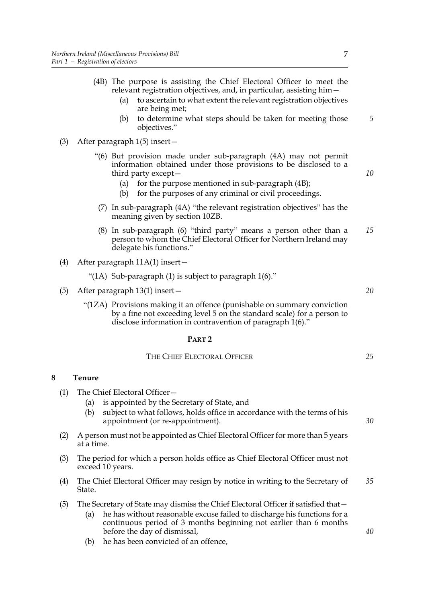- (a) to ascertain to what extent the relevant registration objectives are being met;
- (b) to determine what steps should be taken for meeting those objectives."
- (3) After paragraph 1(5) insert—
	- "(6) But provision made under sub-paragraph (4A) may not permit information obtained under those provisions to be disclosed to a third party except—
		- (a) for the purpose mentioned in sub-paragraph  $(4B)$ ;
		- (b) for the purposes of any criminal or civil proceedings.
	- (7) In sub-paragraph (4A) "the relevant registration objectives" has the meaning given by section 10ZB.
	- (8) In sub-paragraph (6) "third party" means a person other than a person to whom the Chief Electoral Officer for Northern Ireland may delegate his functions." *15*
- (4) After paragraph 11A(1) insert—
	- "(1A) Sub-paragraph (1) is subject to paragraph 1(6)."
- (5) After paragraph 13(1) insert—
	- "(1ZA) Provisions making it an offence (punishable on summary conviction by a fine not exceeding level 5 on the standard scale) for a person to disclose information in contravention of paragraph 1(6)."

#### **PART 2**

| The Chief Electoral Officer |
|-----------------------------|
|-----------------------------|

#### **8 Tenure**

- (1) The Chief Electoral Officer—
	- (a) is appointed by the Secretary of State, and
	- (b) subject to what follows, holds office in accordance with the terms of his appointment (or re-appointment).
- (2) A person must not be appointed as Chief Electoral Officer for more than 5 years at a time.
- (3) The period for which a person holds office as Chief Electoral Officer must not exceed 10 years.
- (4) The Chief Electoral Officer may resign by notice in writing to the Secretary of State. *35*
- (5) The Secretary of State may dismiss the Chief Electoral Officer if satisfied that—
	- (a) he has without reasonable excuse failed to discharge his functions for a continuous period of 3 months beginning not earlier than 6 months before the day of dismissal,
	- (b) he has been convicted of an offence,

*5*

*10*

*40*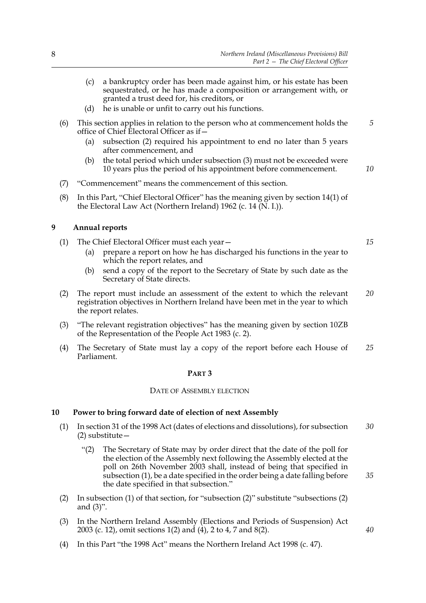- (c) a bankruptcy order has been made against him, or his estate has been sequestrated, or he has made a composition or arrangement with, or granted a trust deed for, his creditors, or
- (d) he is unable or unfit to carry out his functions.
- (6) This section applies in relation to the person who at commencement holds the office of Chief Electoral Officer as if—
	- (a) subsection (2) required his appointment to end no later than 5 years after commencement, and
	- (b) the total period which under subsection (3) must not be exceeded were 10 years plus the period of his appointment before commencement.
- (7) "Commencement" means the commencement of this section.
- (8) In this Part, "Chief Electoral Officer" has the meaning given by section 14(1) of the Electoral Law Act (Northern Ireland) 1962 (c. 14 (N. I.)).

#### **9 Annual reports**

- (1) The Chief Electoral Officer must each year—
	- (a) prepare a report on how he has discharged his functions in the year to which the report relates, and
	- (b) send a copy of the report to the Secretary of State by such date as the Secretary of State directs.
- (2) The report must include an assessment of the extent to which the relevant registration objectives in Northern Ireland have been met in the year to which the report relates. *20*
- (3) "The relevant registration objectives" has the meaning given by section 10ZB of the Representation of the People Act 1983 (c. 2).
- (4) The Secretary of State must lay a copy of the report before each House of Parliament. *25*

#### **PART 3**

#### DATE OF ASSEMBLY ELECTION

#### **10 Power to bring forward date of election of next Assembly**

- (1) In section 31 of the 1998 Act (dates of elections and dissolutions), for subsection (2) substitute— *30*
	- "(2) The Secretary of State may by order direct that the date of the poll for the election of the Assembly next following the Assembly elected at the poll on 26th November 2003 shall, instead of being that specified in subsection (1), be a date specified in the order being a date falling before the date specified in that subsection."
- (2) In subsection (1) of that section, for "subsection (2)" substitute "subsections (2) and (3)".
- (3) In the Northern Ireland Assembly (Elections and Periods of Suspension) Act 2003 (c. 12), omit sections 1(2) and (4), 2 to 4, 7 and 8(2).
- (4) In this Part "the 1998 Act" means the Northern Ireland Act 1998 (c. 47).

*15*

*35*

*40*

*5*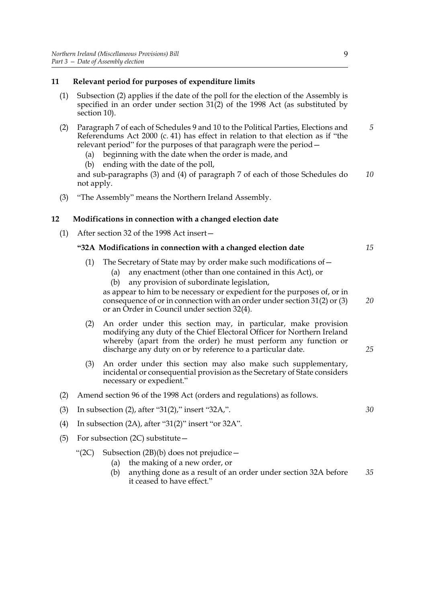#### **11 Relevant period for purposes of expenditure limits**

- (1) Subsection (2) applies if the date of the poll for the election of the Assembly is specified in an order under section  $31(2)$  of the 1998 Act (as substituted by section 10).
- (2) Paragraph 7 of each of Schedules 9 and 10 to the Political Parties, Elections and Referendums Act 2000 (c. 41) has effect in relation to that election as if "the relevant period" for the purposes of that paragraph were the period— *5*
	- (a) beginning with the date when the order is made, and
	- (b) ending with the date of the poll,

and sub-paragraphs (3) and (4) of paragraph 7 of each of those Schedules do not apply. *10*

(3) "The Assembly" means the Northern Ireland Assembly.

#### **12 Modifications in connection with a changed election date**

(1) After section 32 of the 1998 Act insert—

#### **"32A Modifications in connection with a changed election date**

- (1) The Secretary of State may by order make such modifications of—
	- (a) any enactment (other than one contained in this Act), or
	- (b) any provision of subordinate legislation,

as appear to him to be necessary or expedient for the purposes of, or in consequence of or in connection with an order under section 31(2) or (3) or an Order in Council under section 32(4). *20*

- (2) An order under this section may, in particular, make provision modifying any duty of the Chief Electoral Officer for Northern Ireland whereby (apart from the order) he must perform any function or discharge any duty on or by reference to a particular date.
- (3) An order under this section may also make such supplementary, incidental or consequential provision as the Secretary of State considers necessary or expedient."
- (2) Amend section 96 of the 1998 Act (orders and regulations) as follows.
- (3) In subsection (2), after "31(2)," insert "32A,".
- (4) In subsection (2A), after "31(2)" insert "or 32A".
- (5) For subsection (2C) substitute—
	- "(2C) Subsection (2B)(b) does not prejudice—
		- (a) the making of a new order, or
		- (b) anything done as a result of an order under section 32A before it ceased to have effect." *35*

*15*

*25*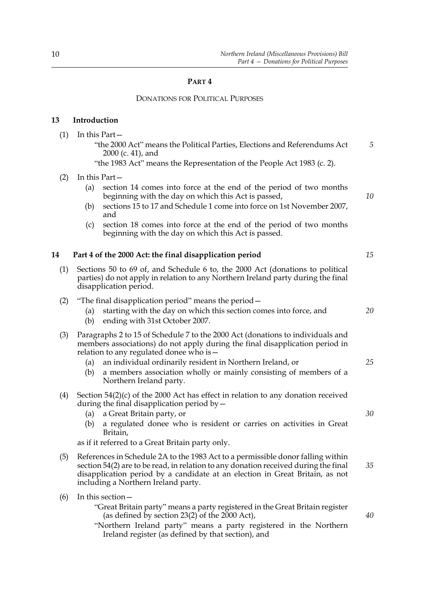#### **PART 4**

#### DONATIONS FOR POLITICAL PURPOSES

#### **13 Introduction**

| (1) | In this Part-                                                                                                                                                                                                                                                                                                                                                                        |    |
|-----|--------------------------------------------------------------------------------------------------------------------------------------------------------------------------------------------------------------------------------------------------------------------------------------------------------------------------------------------------------------------------------------|----|
|     | "the 2000 Act" means the Political Parties, Elections and Referendums Act<br>2000 (c. 41), and                                                                                                                                                                                                                                                                                       | 5  |
|     | "the 1983 Act" means the Representation of the People Act 1983 (c. 2).                                                                                                                                                                                                                                                                                                               |    |
| (2) | In this Part-                                                                                                                                                                                                                                                                                                                                                                        |    |
|     | section 14 comes into force at the end of the period of two months<br>(a)<br>beginning with the day on which this Act is passed,                                                                                                                                                                                                                                                     | 10 |
|     | sections 15 to 17 and Schedule 1 come into force on 1st November 2007,<br>(b)<br>and                                                                                                                                                                                                                                                                                                 |    |
|     | section 18 comes into force at the end of the period of two months<br>(c)<br>beginning with the day on which this Act is passed.                                                                                                                                                                                                                                                     |    |
| 14  | Part 4 of the 2000 Act: the final disapplication period                                                                                                                                                                                                                                                                                                                              | 15 |
| (1) | Sections 50 to 69 of, and Schedule 6 to, the 2000 Act (donations to political<br>parties) do not apply in relation to any Northern Ireland party during the final<br>disapplication period.                                                                                                                                                                                          |    |
| (2) | "The final disapplication period" means the period -<br>starting with the day on which this section comes into force, and<br>(a)<br>ending with 31st October 2007.<br>(b)                                                                                                                                                                                                            | 20 |
| (3) | Paragraphs 2 to 15 of Schedule 7 to the 2000 Act (donations to individuals and<br>members associations) do not apply during the final disapplication period in<br>relation to any regulated donee who is-<br>an individual ordinarily resident in Northern Ireland, or<br>(a)<br>a members association wholly or mainly consisting of members of a<br>(b)<br>Northern Ireland party. | 25 |
| (4) | Section $54(2)(c)$ of the 2000 Act has effect in relation to any donation received<br>during the final disapplication period by $-$<br>a Great Britain party, or<br>(a)<br>a regulated donee who is resident or carries on activities in Great<br>(b)<br>Britain,<br>as if it referred to a Great Britain party only.                                                                | 30 |
| (5) | References in Schedule 2A to the 1983 Act to a permissible donor falling within<br>section 54(2) are to be read, in relation to any donation received during the final<br>disapplication period by a candidate at an election in Great Britain, as not<br>including a Northern Ireland party.                                                                                        | 35 |
| (6) | In this section -<br>"Great Britain party" means a party registered in the Great Britain register<br>(as defined by section $23(2)$ of the $2000$ Act),<br>"Northern Ireland party" means a party registered in the Northern<br>Ireland register (as defined by that section), and                                                                                                   | 40 |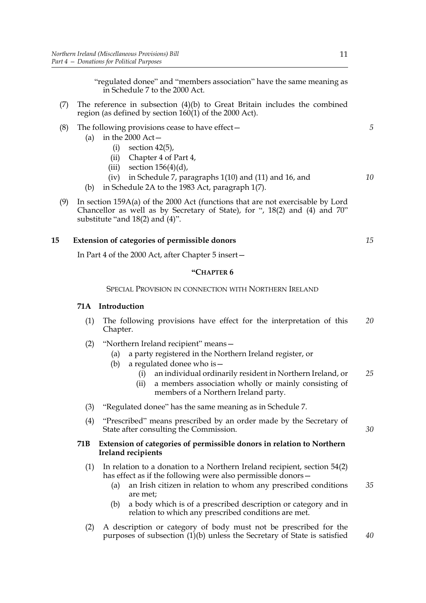"regulated donee" and "members association" have the same meaning as in Schedule 7 to the 2000 Act.

- (7) The reference in subsection (4)(b) to Great Britain includes the combined region (as defined by section 160(1) of the 2000 Act).
- (8) The following provisions cease to have effect—
	- (a) in the  $2000$  Act  $-$ 
		- (i) section 42(5),
		- (ii) Chapter 4 of Part 4,
		- (iii) section  $156(4)(d)$ ,
		- (iv) in Schedule 7, paragraphs 1(10) and (11) and 16, and
	- (b) in Schedule 2A to the 1983 Act, paragraph 1(7).
- (9) In section 159A(a) of the 2000 Act (functions that are not exercisable by Lord Chancellor as well as by Secretary of State), for ", 18(2) and (4) and 70" substitute "and 18(2) and (4)".

#### **15 Extension of categories of permissible donors**

In Part 4 of the 2000 Act, after Chapter 5 insert—

#### **"CHAPTER 6**

SPECIAL PROVISION IN CONNECTION WITH NORTHERN IRELAND

#### **71A Introduction**

- (1) The following provisions have effect for the interpretation of this Chapter. *20*
- (2) "Northern Ireland recipient" means—
	- (a) a party registered in the Northern Ireland register, or
	- (b) a regulated donee who is—
		- (i) an individual ordinarily resident in Northern Ireland, or *25*
		- (ii) a members association wholly or mainly consisting of members of a Northern Ireland party.
- (3) "Regulated donee" has the same meaning as in Schedule 7.
- (4) "Prescribed" means prescribed by an order made by the Secretary of State after consulting the Commission.

#### **71B Extension of categories of permissible donors in relation to Northern Ireland recipients**

- (1) In relation to a donation to a Northern Ireland recipient, section 54(2) has effect as if the following were also permissible donors—
	- (a) an Irish citizen in relation to whom any prescribed conditions are met; *35*
	- (b) a body which is of a prescribed description or category and in relation to which any prescribed conditions are met.
- (2) A description or category of body must not be prescribed for the purposes of subsection (1)(b) unless the Secretary of State is satisfied *40*

*10*

*5*

*15*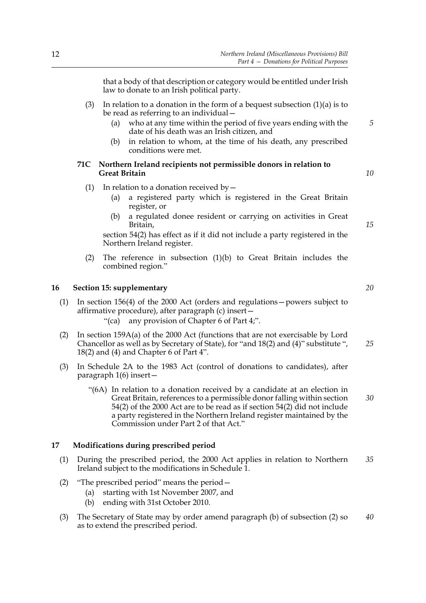that a body of that description or category would be entitled under Irish law to donate to an Irish political party.

- (3) In relation to a donation in the form of a bequest subsection  $(1)(a)$  is to be read as referring to an individual—
	- (a) who at any time within the period of five years ending with the date of his death was an Irish citizen, and
	- (b) in relation to whom, at the time of his death, any prescribed conditions were met.

#### **71C Northern Ireland recipients not permissible donors in relation to Great Britain**

- (1) In relation to a donation received by  $-$ 
	- (a) a registered party which is registered in the Great Britain register, or
	- (b) a regulated donee resident or carrying on activities in Great Britain,

section 54(2) has effect as if it did not include a party registered in the Northern Ireland register.

(2) The reference in subsection (1)(b) to Great Britain includes the combined region."

#### **16 Section 15: supplementary**

- (1) In section 156(4) of the 2000 Act (orders and regulations—powers subject to affirmative procedure), after paragraph (c) insert— "(ca) any provision of Chapter 6 of Part 4;".
- (2) In section 159A(a) of the 2000 Act (functions that are not exercisable by Lord Chancellor as well as by Secretary of State), for "and 18(2) and (4)" substitute ", 18(2) and (4) and Chapter 6 of Part 4". *25*
- (3) In Schedule 2A to the 1983 Act (control of donations to candidates), after paragraph 1(6) insert—
	- "(6A) In relation to a donation received by a candidate at an election in Great Britain, references to a permissible donor falling within section 54(2) of the 2000 Act are to be read as if section 54(2) did not include a party registered in the Northern Ireland register maintained by the Commission under Part 2 of that Act." *30*

#### **17 Modifications during prescribed period**

- (1) During the prescribed period, the 2000 Act applies in relation to Northern Ireland subject to the modifications in Schedule 1. *35*
- (2) "The prescribed period" means the period—
	- (a) starting with 1st November 2007, and
	- (b) ending with 31st October 2010.
- (3) The Secretary of State may by order amend paragraph (b) of subsection (2) so as to extend the prescribed period. *40*

*20*

*5*

*10*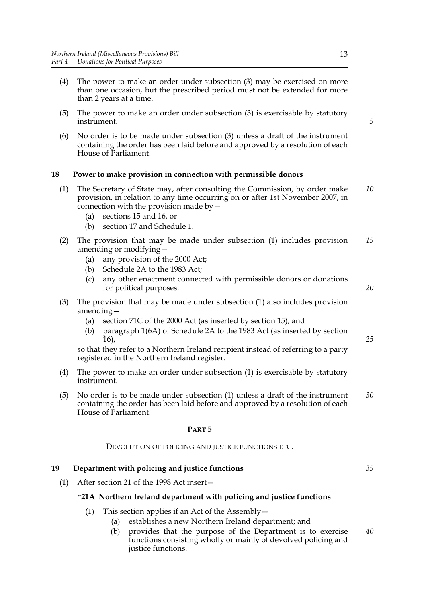- (4) The power to make an order under subsection (3) may be exercised on more than one occasion, but the prescribed period must not be extended for more than 2 years at a time.
- (5) The power to make an order under subsection (3) is exercisable by statutory instrument.
- (6) No order is to be made under subsection (3) unless a draft of the instrument containing the order has been laid before and approved by a resolution of each House of Parliament.

#### **18 Power to make provision in connection with permissible donors**

- (1) The Secretary of State may, after consulting the Commission, by order make provision, in relation to any time occurring on or after 1st November 2007, in connection with the provision made by  $-$ *10*
	- (a) sections 15 and 16, or
	- (b) section 17 and Schedule 1.
- (2) The provision that may be made under subsection (1) includes provision amending or modifying— *15*
	- (a) any provision of the 2000 Act;
	- (b) Schedule 2A to the 1983 Act;
	- (c) any other enactment connected with permissible donors or donations for political purposes.
- (3) The provision that may be made under subsection (1) also includes provision amending—
	- (a) section 71C of the 2000 Act (as inserted by section 15), and
	- (b) paragraph 1(6A) of Schedule 2A to the 1983 Act (as inserted by section 16),

so that they refer to a Northern Ireland recipient instead of referring to a party registered in the Northern Ireland register.

- (4) The power to make an order under subsection (1) is exercisable by statutory instrument.
- (5) No order is to be made under subsection (1) unless a draft of the instrument containing the order has been laid before and approved by a resolution of each House of Parliament. *30*

#### **PART 5**

#### DEVOLUTION OF POLICING AND JUSTICE FUNCTIONS ETC.

#### **19 Department with policing and justice functions**

(1) After section 21 of the 1998 Act insert—

#### **"21A Northern Ireland department with policing and justice functions**

- (1) This section applies if an Act of the Assembly  $-$ 
	- (a) establishes a new Northern Ireland department; and
	- (b) provides that the purpose of the Department is to exercise functions consisting wholly or mainly of devolved policing and justice functions. *40*

*5*

*20*

*25*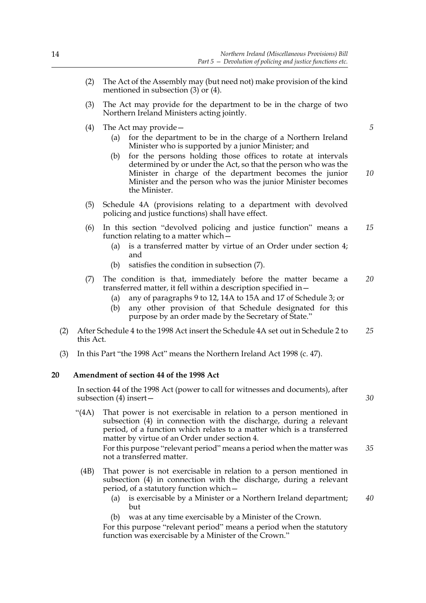- (2) The Act of the Assembly may (but need not) make provision of the kind mentioned in subsection (3) or (4).
- (3) The Act may provide for the department to be in the charge of two Northern Ireland Ministers acting jointly.
- (4) The Act may provide—
	- (a) for the department to be in the charge of a Northern Ireland Minister who is supported by a junior Minister; and
	- (b) for the persons holding those offices to rotate at intervals determined by or under the Act, so that the person who was the Minister in charge of the department becomes the junior Minister and the person who was the junior Minister becomes the Minister.
- (5) Schedule 4A (provisions relating to a department with devolved policing and justice functions) shall have effect.
- (6) In this section "devolved policing and justice function" means a function relating to a matter which— *15*
	- (a) is a transferred matter by virtue of an Order under section 4; and
	- (b) satisfies the condition in subsection (7).
- (7) The condition is that, immediately before the matter became a transferred matter, it fell within a description specified in— *20*
	- (a) any of paragraphs 9 to 12, 14A to 15A and 17 of Schedule 3; or
	- (b) any other provision of that Schedule designated for this purpose by an order made by the Secretary of State."
- (2) After Schedule 4 to the 1998 Act insert the Schedule 4A set out in Schedule 2 to this Act. *25*
- (3) In this Part "the 1998 Act" means the Northern Ireland Act 1998 (c. 47).

#### **20 Amendment of section 44 of the 1998 Act**

In section 44 of the 1998 Act (power to call for witnesses and documents), after subsection (4) insert—

*30*

*35*

*5*

*10*

- "(4A) That power is not exercisable in relation to a person mentioned in subsection (4) in connection with the discharge, during a relevant period, of a function which relates to a matter which is a transferred matter by virtue of an Order under section 4. For this purpose "relevant period" means a period when the matter was not a transferred matter.
	- (4B) That power is not exercisable in relation to a person mentioned in subsection (4) in connection with the discharge, during a relevant period, of a statutory function which—
		- (a) is exercisable by a Minister or a Northern Ireland department; but *40*
		- (b) was at any time exercisable by a Minister of the Crown.

For this purpose "relevant period" means a period when the statutory function was exercisable by a Minister of the Crown."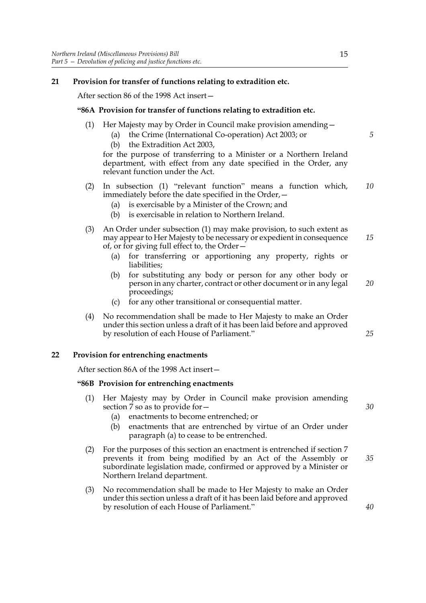#### **21 Provision for transfer of functions relating to extradition etc.**

After section 86 of the 1998 Act insert—

#### **"86A Provision for transfer of functions relating to extradition etc.**

- (1) Her Majesty may by Order in Council make provision amending—
	- (a) the Crime (International Co-operation) Act 2003; or
	- (b) the Extradition Act 2003,

for the purpose of transferring to a Minister or a Northern Ireland department, with effect from any date specified in the Order, any relevant function under the Act.

- (2) In subsection (1) "relevant function" means a function which, immediately before the date specified in the Order,— *10*
	- (a) is exercisable by a Minister of the Crown; and
	- (b) is exercisable in relation to Northern Ireland.
- (3) An Order under subsection (1) may make provision, to such extent as may appear to Her Majesty to be necessary or expedient in consequence of, or for giving full effect to, the Order— *15*
	- (a) for transferring or apportioning any property, rights or liabilities;
	- (b) for substituting any body or person for any other body or person in any charter, contract or other document or in any legal proceedings; *20*
	- (c) for any other transitional or consequential matter.
- (4) No recommendation shall be made to Her Majesty to make an Order under this section unless a draft of it has been laid before and approved by resolution of each House of Parliament."

#### **22 Provision for entrenching enactments**

After section 86A of the 1998 Act insert—

#### **"86B Provision for entrenching enactments**

- (1) Her Majesty may by Order in Council make provision amending section  $\overline{7}$  so as to provide for  $-$ 
	- (a) enactments to become entrenched; or
	- (b) enactments that are entrenched by virtue of an Order under paragraph (a) to cease to be entrenched.
- (2) For the purposes of this section an enactment is entrenched if section 7 prevents it from being modified by an Act of the Assembly or subordinate legislation made, confirmed or approved by a Minister or Northern Ireland department. *35*
- (3) No recommendation shall be made to Her Majesty to make an Order under this section unless a draft of it has been laid before and approved by resolution of each House of Parliament."

*5*

*40*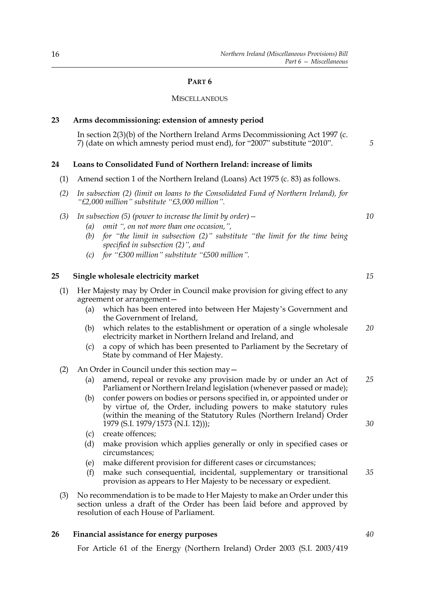#### **PART 6**

#### **MISCELLANEOUS**

#### **23 Arms decommissioning: extension of amnesty period**

In section 2(3)(b) of the Northern Ireland Arms Decommissioning Act 1997 (c. 7) (date on which amnesty period must end), for "2007" substitute "2010".

#### **24 Loans to Consolidated Fund of Northern Ireland: increase of limits**

- (1) Amend section 1 of the Northern Ireland (Loans) Act 1975 (c. 83) as follows.
- *(2) In subsection (2) (limit on loans to the Consolidated Fund of Northern Ireland), for "£2,000 million" substitute "£3,000 million".*
- *(3) In subsection (5) (power to increase the limit by order)—*
	- *(a) omit ", on not more than one occasion,",*
	- *(b) for "the limit in subsection (2)" substitute "the limit for the time being specified in subsection (2)", and*
	- *(c) for "£300 million" substitute "£500 million".*

#### **25 Single wholesale electricity market**

- (1) Her Majesty may by Order in Council make provision for giving effect to any agreement or arrangement—
	- (a) which has been entered into between Her Majesty's Government and the Government of Ireland,
	- (b) which relates to the establishment or operation of a single wholesale electricity market in Northern Ireland and Ireland, and *20*
	- (c) a copy of which has been presented to Parliament by the Secretary of State by command of Her Majesty.
- (2) An Order in Council under this section may—
	- (a) amend, repeal or revoke any provision made by or under an Act of Parliament or Northern Ireland legislation (whenever passed or made); *25*
	- (b) confer powers on bodies or persons specified in, or appointed under or by virtue of, the Order, including powers to make statutory rules (within the meaning of the Statutory Rules (Northern Ireland) Order 1979 (S.I. 1979/1573 (N.I. 12)));
	- (c) create offences;
	- (d) make provision which applies generally or only in specified cases or circumstances;
	- (e) make different provision for different cases or circumstances;
	- (f) make such consequential, incidental, supplementary or transitional provision as appears to Her Majesty to be necessary or expedient. *35*
- (3) No recommendation is to be made to Her Majesty to make an Order under this section unless a draft of the Order has been laid before and approved by resolution of each House of Parliament.

#### **26 Financial assistance for energy purposes**

For Article 61 of the Energy (Northern Ireland) Order 2003 (S.I. 2003/419

*15*

*30*

*40*

*10*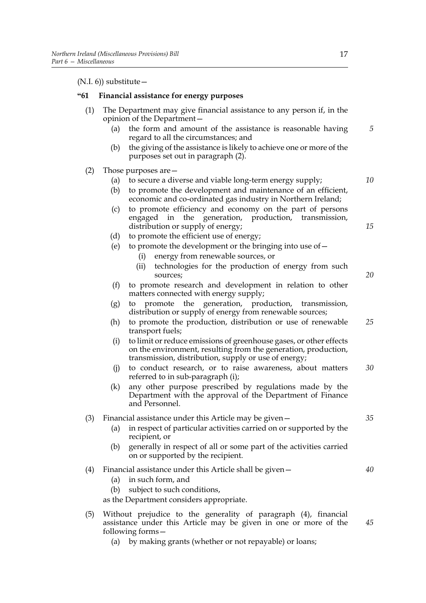#### $(N.I. 6)$ ) substitute –

#### **"61 Financial assistance for energy purposes**

- (1) The Department may give financial assistance to any person if, in the opinion of the Department—
	- (a) the form and amount of the assistance is reasonable having regard to all the circumstances; and
	- (b) the giving of the assistance is likely to achieve one or more of the purposes set out in paragraph (2).
- (2) Those purposes are—
	- (a) to secure a diverse and viable long-term energy supply;
	- (b) to promote the development and maintenance of an efficient, economic and co-ordinated gas industry in Northern Ireland;
	- (c) to promote efficiency and economy on the part of persons engaged in the generation, production, transmission, distribution or supply of energy;
	- (d) to promote the efficient use of energy;
	- (e) to promote the development or the bringing into use of  $-$ 
		- (i) energy from renewable sources, or
		- (ii) technologies for the production of energy from such sources;
	- (f) to promote research and development in relation to other matters connected with energy supply;
	- (g) to promote the generation, production, transmission, distribution or supply of energy from renewable sources;
	- (h) to promote the production, distribution or use of renewable transport fuels; *25*
	- (i) to limit or reduce emissions of greenhouse gases, or other effects on the environment, resulting from the generation, production, transmission, distribution, supply or use of energy;
	- (j) to conduct research, or to raise awareness, about matters referred to in sub-paragraph (i); *30*
	- (k) any other purpose prescribed by regulations made by the Department with the approval of the Department of Finance and Personnel.

#### (3) Financial assistance under this Article may be given—

- (a) in respect of particular activities carried on or supported by the recipient, or
- (b) generally in respect of all or some part of the activities carried on or supported by the recipient.

#### (4) Financial assistance under this Article shall be given—

- (a) in such form, and
- (b) subject to such conditions,

as the Department considers appropriate.

- (5) Without prejudice to the generality of paragraph (4), financial assistance under this Article may be given in one or more of the following forms— *45*
	- (a) by making grants (whether or not repayable) or loans;

*5*

*10*

*15*

*20*

*35*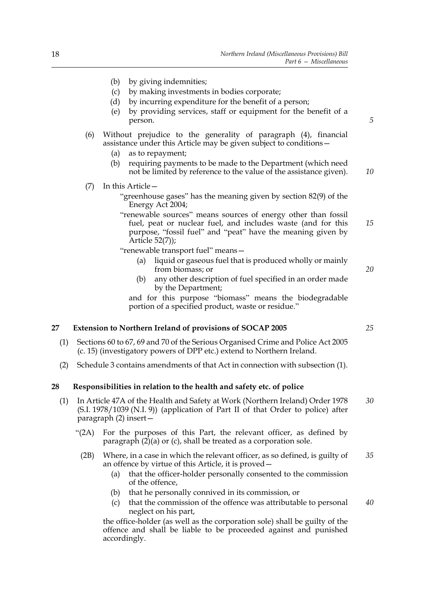- (b) by giving indemnities;
- (c) by making investments in bodies corporate;
- (d) by incurring expenditure for the benefit of a person;
- (e) by providing services, staff or equipment for the benefit of a person.
- (6) Without prejudice to the generality of paragraph (4), financial assistance under this Article may be given subject to conditions—
	- (a) as to repayment;
	- (b) requiring payments to be made to the Department (which need not be limited by reference to the value of the assistance given). *10*
- (7) In this Article—
	- "greenhouse gases" has the meaning given by section 82(9) of the Energy Act 2004;
	- "renewable sources" means sources of energy other than fossil fuel, peat or nuclear fuel, and includes waste (and for this purpose, "fossil fuel" and "peat" have the meaning given by Article 52(7)); *15*

"renewable transport fuel" means—

- (a) liquid or gaseous fuel that is produced wholly or mainly from biomass; or
- (b) any other description of fuel specified in an order made by the Department;

and for this purpose "biomass" means the biodegradable portion of a specified product, waste or residue."

#### **27 Extension to Northern Ireland of provisions of SOCAP 2005**

- (1) Sections 60 to 67, 69 and 70 of the Serious Organised Crime and Police Act 2005 (c. 15) (investigatory powers of DPP etc.) extend to Northern Ireland.
- (2) Schedule 3 contains amendments of that Act in connection with subsection (1).

#### **28 Responsibilities in relation to the health and safety etc. of police**

- (1) In Article 47A of the Health and Safety at Work (Northern Ireland) Order 1978 (S.I. 1978/1039 (N.I. 9)) (application of Part II of that Order to police) after paragraph (2) insert— *30*
	- "(2A) For the purposes of this Part, the relevant officer, as defined by paragraph  $(2)(a)$  or  $(c)$ , shall be treated as a corporation sole.
	- (2B) Where, in a case in which the relevant officer, as so defined, is guilty of an offence by virtue of this Article, it is proved— *35*
		- (a) that the officer-holder personally consented to the commission of the offence,
		- (b) that he personally connived in its commission, or
		- (c) that the commission of the offence was attributable to personal neglect on his part, *40*

the office-holder (as well as the corporation sole) shall be guilty of the offence and shall be liable to be proceeded against and punished accordingly.

*25*

*20*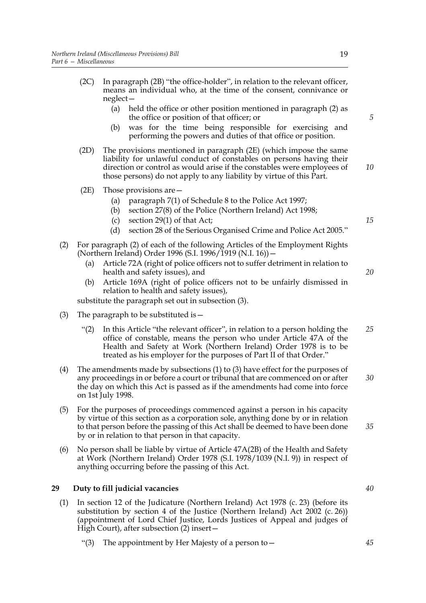- (2C) In paragraph (2B) "the office-holder", in relation to the relevant officer, means an individual who, at the time of the consent, connivance or neglect—
	- (a) held the office or other position mentioned in paragraph (2) as the office or position of that officer; or
	- (b) was for the time being responsible for exercising and performing the powers and duties of that office or position.
- (2D) The provisions mentioned in paragraph (2E) (which impose the same liability for unlawful conduct of constables on persons having their direction or control as would arise if the constables were employees of those persons) do not apply to any liability by virtue of this Part.
- (2E) Those provisions are—
	- (a) paragraph 7(1) of Schedule 8 to the Police Act 1997;
	- (b) section 27(8) of the Police (Northern Ireland) Act 1998;
	- (c) section 29(1) of that Act;
	- (d) section 28 of the Serious Organised Crime and Police Act 2005."
- (2) For paragraph (2) of each of the following Articles of the Employment Rights (Northern Ireland) Order 1996 (S.I. 1996/1919 (N.I. 16))—
	- (a) Article 72A (right of police officers not to suffer detriment in relation to health and safety issues), and
	- (b) Article 169A (right of police officers not to be unfairly dismissed in relation to health and safety issues),

substitute the paragraph set out in subsection (3).

- (3) The paragraph to be substituted is  $-$ 
	- "(2) In this Article "the relevant officer", in relation to a person holding the office of constable, means the person who under Article 47A of the Health and Safety at Work (Northern Ireland) Order 1978 is to be treated as his employer for the purposes of Part II of that Order." *25*
- (4) The amendments made by subsections (1) to (3) have effect for the purposes of any proceedings in or before a court or tribunal that are commenced on or after the day on which this Act is passed as if the amendments had come into force on 1st July 1998. *30*
- (5) For the purposes of proceedings commenced against a person in his capacity by virtue of this section as a corporation sole, anything done by or in relation to that person before the passing of this Act shall be deemed to have been done by or in relation to that person in that capacity.
- (6) No person shall be liable by virtue of Article 47A(2B) of the Health and Safety at Work (Northern Ireland) Order 1978 (S.I. 1978/1039 (N.I. 9)) in respect of anything occurring before the passing of this Act.

#### **29 Duty to fill judicial vacancies**

- (1) In section 12 of the Judicature (Northern Ireland) Act 1978 (c. 23) (before its substitution by section 4 of the Justice (Northern Ireland) Act 2002 (c. 26)) (appointment of Lord Chief Justice, Lords Justices of Appeal and judges of High Court), after subsection (2) insert—
	- "(3) The appointment by Her Majesty of a person to  $-$

*15*

*10*

*5*

*20*

*35*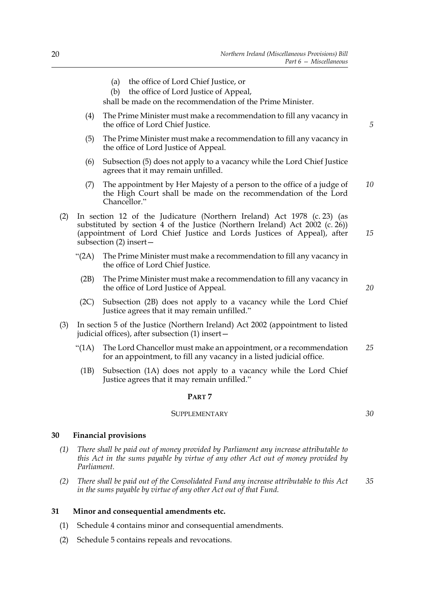|     |              | (a) the office of Lord Chief Justice, or                                                                                                                                                                                                                        |    |
|-----|--------------|-----------------------------------------------------------------------------------------------------------------------------------------------------------------------------------------------------------------------------------------------------------------|----|
|     |              | (b) the office of Lord Justice of Appeal,                                                                                                                                                                                                                       |    |
|     |              | shall be made on the recommendation of the Prime Minister.                                                                                                                                                                                                      |    |
|     | (4)          | The Prime Minister must make a recommendation to fill any vacancy in<br>the office of Lord Chief Justice.                                                                                                                                                       | 5  |
|     | (5)          | The Prime Minister must make a recommendation to fill any vacancy in<br>the office of Lord Justice of Appeal.                                                                                                                                                   |    |
|     | (6)          | Subsection (5) does not apply to a vacancy while the Lord Chief Justice<br>agrees that it may remain unfilled.                                                                                                                                                  |    |
|     | (7)          | The appointment by Her Majesty of a person to the office of a judge of<br>the High Court shall be made on the recommendation of the Lord<br>Chancellor."                                                                                                        | 10 |
| (2) |              | In section 12 of the Judicature (Northern Ireland) Act 1978 (c. 23) (as<br>substituted by section 4 of the Justice (Northern Ireland) Act 2002 (c. 26))<br>(appointment of Lord Chief Justice and Lords Justices of Appeal), after<br>subsection $(2)$ insert – | 15 |
|     | $\cdot (2A)$ | The Prime Minister must make a recommendation to fill any vacancy in<br>the office of Lord Chief Justice.                                                                                                                                                       |    |
|     | (2B)         | The Prime Minister must make a recommendation to fill any vacancy in<br>the office of Lord Justice of Appeal.                                                                                                                                                   | 20 |
|     | (2C)         | Subsection (2B) does not apply to a vacancy while the Lord Chief<br>Justice agrees that it may remain unfilled."                                                                                                                                                |    |
| (3) |              | In section 5 of the Justice (Northern Ireland) Act 2002 (appointment to listed<br>judicial offices), after subsection (1) insert-                                                                                                                               |    |
|     | " $(1A)$     | The Lord Chancellor must make an appointment, or a recommendation<br>for an appointment, to fill any vacancy in a listed judicial office.                                                                                                                       | 25 |
|     | (1B)         | Subsection (1A) does not apply to a vacancy while the Lord Chief<br>Justice agrees that it may remain unfilled."                                                                                                                                                |    |
|     |              | PART <sub>7</sub>                                                                                                                                                                                                                                               |    |
|     |              | SUPPLEMENTARY                                                                                                                                                                                                                                                   | 30 |
| 30  |              | <b>Financial provisions</b>                                                                                                                                                                                                                                     |    |

- *(1) There shall be paid out of money provided by Parliament any increase attributable to this Act in the sums payable by virtue of any other Act out of money provided by Parliament.*
- *(2) There shall be paid out of the Consolidated Fund any increase attributable to this Act in the sums payable by virtue of any other Act out of that Fund. 35*

#### **31 Minor and consequential amendments etc.**

- (1) Schedule 4 contains minor and consequential amendments.
- (2) Schedule 5 contains repeals and revocations.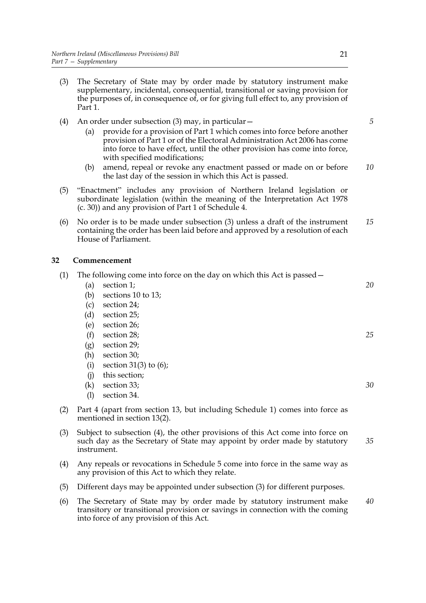- (3) The Secretary of State may by order made by statutory instrument make supplementary, incidental, consequential, transitional or saving provision for the purposes of, in consequence of, or for giving full effect to, any provision of Part 1.
- (4) An order under subsection (3) may, in particular—
	- (a) provide for a provision of Part 1 which comes into force before another provision of Part 1 or of the Electoral Administration Act 2006 has come into force to have effect, until the other provision has come into force, with specified modifications;
	- (b) amend, repeal or revoke any enactment passed or made on or before the last day of the session in which this Act is passed. *10*
- (5) "Enactment" includes any provision of Northern Ireland legislation or subordinate legislation (within the meaning of the Interpretation Act 1978 (c. 30)) and any provision of Part 1 of Schedule 4.
- (6) No order is to be made under subsection (3) unless a draft of the instrument containing the order has been laid before and approved by a resolution of each House of Parliament. *15*

#### **32 Commencement**

| (1) The following come into force on the day on which this Act is passed $-$ |  |
|------------------------------------------------------------------------------|--|
| (a) section 1;                                                               |  |

- (b) sections 10 to 13;
- (c) section 24;
- (d) section 25;
- (e) section 26;
- (f) section 28;
- (g) section 29;
- (h) section 30;
- (i) section 31(3) to  $(6)$ ;
- (j) this section;
- (k) section 33;
- (l) section 34.
- (2) Part 4 (apart from section 13, but including Schedule 1) comes into force as mentioned in section 13(2).
- (3) Subject to subsection (4), the other provisions of this Act come into force on such day as the Secretary of State may appoint by order made by statutory instrument. *35*
- (4) Any repeals or revocations in Schedule 5 come into force in the same way as any provision of this Act to which they relate.
- (5) Different days may be appointed under subsection (3) for different purposes.
- (6) The Secretary of State may by order made by statutory instrument make transitory or transitional provision or savings in connection with the coming into force of any provision of this Act. *40*

*5*

*25*

*20*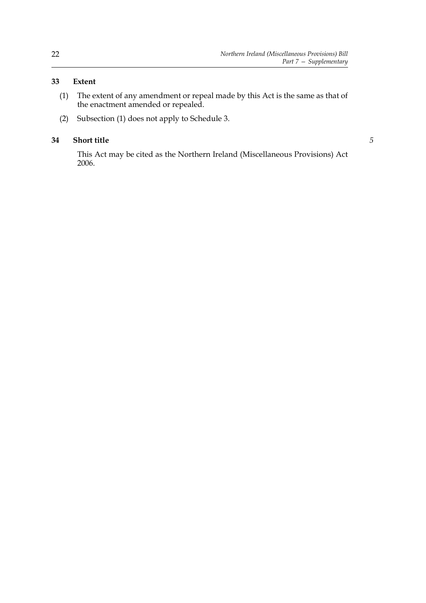#### **33 Extent**

- (1) The extent of any amendment or repeal made by this Act is the same as that of the enactment amended or repealed.
- (2) Subsection (1) does not apply to Schedule 3.

#### **34 Short title**

*5*

This Act may be cited as the Northern Ireland (Miscellaneous Provisions) Act 2006.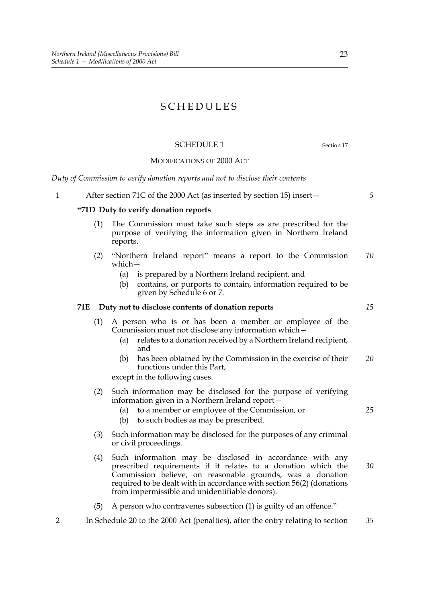## SCHEDULES

#### SCHEDULE 1 Section 17

MODIFICATIONS OF 2000 ACT

*Duty of Commission to verify donation reports and not to disclose their contents*

|  | After section 71C of the 2000 Act (as inserted by section 15) insert – |
|--|------------------------------------------------------------------------|
|--|------------------------------------------------------------------------|

#### **"71D Duty to verify donation reports**

- (1) The Commission must take such steps as are prescribed for the purpose of verifying the information given in Northern Ireland reports.
- (2) "Northern Ireland report" means a report to the Commission which— *10*
	- (a) is prepared by a Northern Ireland recipient, and
	- (b) contains, or purports to contain, information required to be given by Schedule 6 or 7.

#### **71E Duty not to disclose contents of donation reports**

- (1) A person who is or has been a member or employee of the Commission must not disclose any information which—
	- (a) relates to a donation received by a Northern Ireland recipient, and
	- (b) has been obtained by the Commission in the exercise of their functions under this Part, *20*

except in the following cases.

- (2) Such information may be disclosed for the purpose of verifying information given in a Northern Ireland report—
	- (a) to a member or employee of the Commission, or
	- (b) to such bodies as may be prescribed.
- (3) Such information may be disclosed for the purposes of any criminal or civil proceedings.
- (4) Such information may be disclosed in accordance with any prescribed requirements if it relates to a donation which the Commission believe, on reasonable grounds, was a donation required to be dealt with in accordance with section 56(2) (donations from impermissible and unidentifiable donors). *30*
- (5) A person who contravenes subsection (1) is guilty of an offence."
- 2 In Schedule 20 to the 2000 Act (penalties), after the entry relating to section *35*

*15*

*25*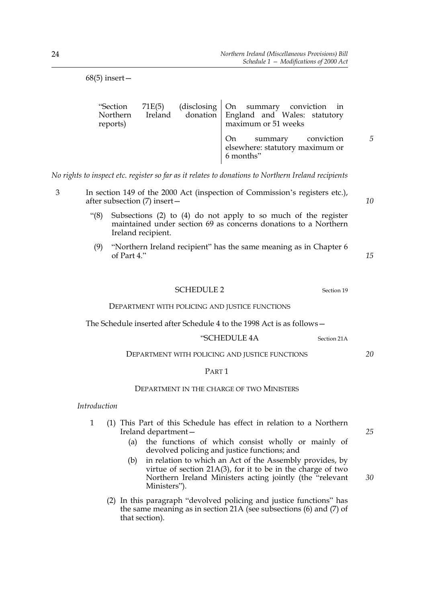| $68(5)$ insert $-$               |        |                                                                                                                   |   |
|----------------------------------|--------|-------------------------------------------------------------------------------------------------------------------|---|
| "Section<br>Northern<br>reports) | 71E(5) | (disclosing   On summary conviction<br>in<br>Ireland donation England and Wales: statutory<br>maximum or 51 weeks |   |
|                                  |        | summary conviction<br>On compared to the United States.<br>elsewhere: statutory maximum or<br>6 months"           | 5 |

*No rights to inspect etc. register so far as it relates to donations to Northern Ireland recipients*

- 3 In section 149 of the 2000 Act (inspection of Commission's registers etc.), after subsection (7) insert—
	- "(8) Subsections (2) to (4) do not apply to so much of the register maintained under section 69 as concerns donations to a Northern Ireland recipient.
	- (9) "Northern Ireland recipient" has the same meaning as in Chapter 6 of Part 4."

*15*

*20*

*25*

*30*

*10*

## SCHEDULE 2 Section 19 DEPARTMENT WITH POLICING AND JUSTICE FUNCTIONS

The Schedule inserted after Schedule 4 to the 1998 Act is as follows—

#### "SCHEDULE 4A Section 21A

DEPARTMENT WITH POLICING AND JUSTICE FUNCTIONS

#### PART 1

#### DEPARTMENT IN THE CHARGE OF TWO MINISTERS

*Introduction*

- 1 (1) This Part of this Schedule has effect in relation to a Northern Ireland department—
	- (a) the functions of which consist wholly or mainly of devolved policing and justice functions; and
	- (b) in relation to which an Act of the Assembly provides, by virtue of section 21A(3), for it to be in the charge of two Northern Ireland Ministers acting jointly (the "relevant Ministers").
	- (2) In this paragraph "devolved policing and justice functions" has the same meaning as in section 21A (see subsections (6) and (7) of that section).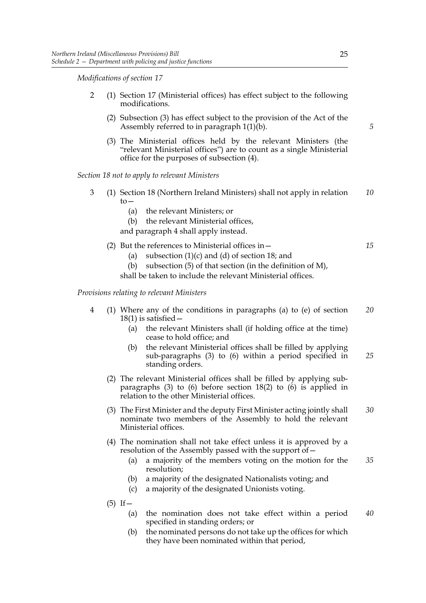*Modifications of section 17*

- 2 (1) Section 17 (Ministerial offices) has effect subject to the following modifications.
	- (2) Subsection (3) has effect subject to the provision of the Act of the Assembly referred to in paragraph 1(1)(b).
	- (3) The Ministerial offices held by the relevant Ministers (the "relevant Ministerial offices") are to count as a single Ministerial office for the purposes of subsection (4).

*Section 18 not to apply to relevant Ministers*

- 3 (1) Section 18 (Northern Ireland Ministers) shall not apply in relation  $to-$ *10*
	- (a) the relevant Ministers; or
	- (b) the relevant Ministerial offices,

and paragraph 4 shall apply instead.

- (2) But the references to Ministerial offices in— *15*
	- (a) subsection  $(1)(c)$  and  $(d)$  of section 18; and
	- (b) subsection (5) of that section (in the definition of M),

shall be taken to include the relevant Ministerial offices.

*Provisions relating to relevant Ministers*

- 4 (1) Where any of the conditions in paragraphs (a) to (e) of section  $18(1)$  is satisfied  $-$ *20*
	- (a) the relevant Ministers shall (if holding office at the time) cease to hold office; and
	- (b) the relevant Ministerial offices shall be filled by applying sub-paragraphs (3) to (6) within a period specified in standing orders. *25*
	- (2) The relevant Ministerial offices shall be filled by applying subparagraphs  $(3)$  to  $(6)$  before section 18(2) to  $(6)$  is applied in relation to the other Ministerial offices.
	- (3) The First Minister and the deputy First Minister acting jointly shall nominate two members of the Assembly to hold the relevant Ministerial offices. *30*
	- (4) The nomination shall not take effect unless it is approved by a resolution of the Assembly passed with the support of—
		- (a) a majority of the members voting on the motion for the resolution; *35*
		- (b) a majority of the designated Nationalists voting; and
		- (c) a majority of the designated Unionists voting.
	- $(5)$  If  $-$ 
		- (a) the nomination does not take effect within a period specified in standing orders; or *40*
		- (b) the nominated persons do not take up the offices for which they have been nominated within that period,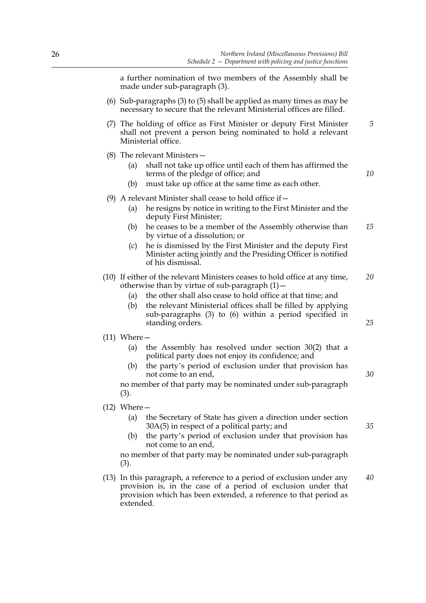a further nomination of two members of the Assembly shall be made under sub-paragraph (3).

- (6) Sub-paragraphs (3) to (5) shall be applied as many times as may be necessary to secure that the relevant Ministerial offices are filled.
- (7) The holding of office as First Minister or deputy First Minister shall not prevent a person being nominated to hold a relevant Ministerial office.
- (8) The relevant Ministers—
	- (a) shall not take up office until each of them has affirmed the terms of the pledge of office; and
	- (b) must take up office at the same time as each other.
- (9) A relevant Minister shall cease to hold office if  $-$ 
	- (a) he resigns by notice in writing to the First Minister and the deputy First Minister;
	- (b) he ceases to be a member of the Assembly otherwise than by virtue of a dissolution; or *15*
	- (c) he is dismissed by the First Minister and the deputy First Minister acting jointly and the Presiding Officer is notified of his dismissal.
- (10) If either of the relevant Ministers ceases to hold office at any time, otherwise than by virtue of sub-paragraph  $(1)$  -*20*
	- (a) the other shall also cease to hold office at that time; and
	- (b) the relevant Ministerial offices shall be filled by applying sub-paragraphs (3) to (6) within a period specified in standing orders.
- (11) Where—
	- (a) the Assembly has resolved under section 30(2) that a political party does not enjoy its confidence; and
	- (b) the party's period of exclusion under that provision has not come to an end,

no member of that party may be nominated under sub-paragraph (3).

#### (12) Where—

- (a) the Secretary of State has given a direction under section 30A(5) in respect of a political party; and
- (b) the party's period of exclusion under that provision has not come to an end,

no member of that party may be nominated under sub-paragraph (3).

(13) In this paragraph, a reference to a period of exclusion under any provision is, in the case of a period of exclusion under that provision which has been extended, a reference to that period as extended.

*35*

*25*

*30*

*5*

*10*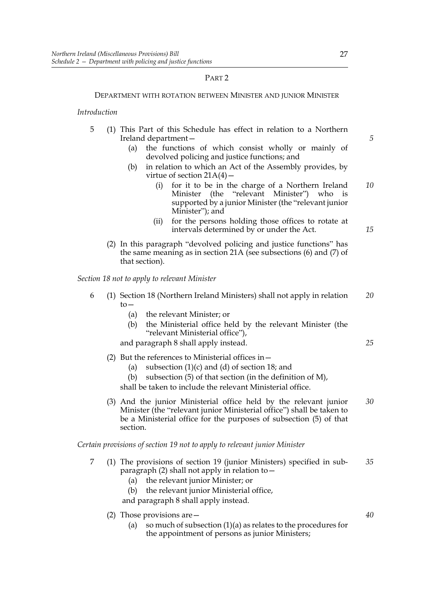#### PART 2

#### DEPARTMENT WITH ROTATION BETWEEN MINISTER AND JUNIOR MINISTER

#### *Introduction*

- 5 (1) This Part of this Schedule has effect in relation to a Northern Ireland department—
	- (a) the functions of which consist wholly or mainly of devolved policing and justice functions; and
	- (b) in relation to which an Act of the Assembly provides, by virtue of section  $21A(4)$  –
		- (i) for it to be in the charge of a Northern Ireland Minister (the "relevant Minister") who is supported by a junior Minister (the "relevant junior Minister"); and *10*
		- (ii) for the persons holding those offices to rotate at intervals determined by or under the Act.
	- (2) In this paragraph "devolved policing and justice functions" has the same meaning as in section 21A (see subsections (6) and (7) of that section).

*Section 18 not to apply to relevant Minister*

- 6 (1) Section 18 (Northern Ireland Ministers) shall not apply in relation  $to-$ *20*
	- (a) the relevant Minister; or
	- (b) the Ministerial office held by the relevant Minister (the "relevant Ministerial office"),

and paragraph 8 shall apply instead.

- (2) But the references to Ministerial offices in—
	- (a) subsection  $(1)(c)$  and  $(d)$  of section 18; and
	- (b) subsection  $(5)$  of that section (in the definition of M),
	- shall be taken to include the relevant Ministerial office.
- (3) And the junior Ministerial office held by the relevant junior Minister (the "relevant junior Ministerial office") shall be taken to be a Ministerial office for the purposes of subsection (5) of that section. *30*

*Certain provisions of section 19 not to apply to relevant junior Minister*

- 7 (1) The provisions of section 19 (junior Ministers) specified in subparagraph (2) shall not apply in relation to— *35*
	- (a) the relevant junior Minister; or
	- (b) the relevant junior Ministerial office,

and paragraph 8 shall apply instead.

- (2) Those provisions are—
	- (a) so much of subsection  $(1)(a)$  as relates to the procedures for the appointment of persons as junior Ministers;

*5*

*15*

*25*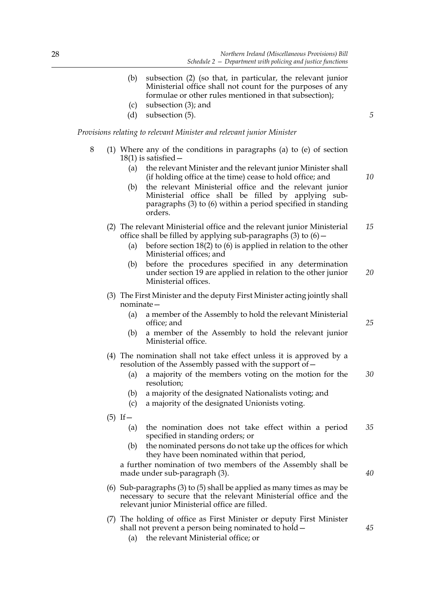- (b) subsection (2) (so that, in particular, the relevant junior Ministerial office shall not count for the purposes of any formulae or other rules mentioned in that subsection);
- (c) subsection (3); and
- (d) subsection (5).

*Provisions relating to relevant Minister and relevant junior Minister*

- 8 (1) Where any of the conditions in paragraphs (a) to (e) of section  $18(1)$  is satisfied  $-$ 
	- (a) the relevant Minister and the relevant junior Minister shall (if holding office at the time) cease to hold office; and
	- (b) the relevant Ministerial office and the relevant junior Ministerial office shall be filled by applying subparagraphs (3) to (6) within a period specified in standing orders.
	- (2) The relevant Ministerial office and the relevant junior Ministerial office shall be filled by applying sub-paragraphs  $(3)$  to  $(6)$  -*15*
		- (a) before section 18(2) to (6) is applied in relation to the other Ministerial offices; and
		- (b) before the procedures specified in any determination under section 19 are applied in relation to the other junior Ministerial offices. *20*
	- (3) The First Minister and the deputy First Minister acting jointly shall nominate—
		- (a) a member of the Assembly to hold the relevant Ministerial office; and
		- (b) a member of the Assembly to hold the relevant junior Ministerial office.
	- (4) The nomination shall not take effect unless it is approved by a resolution of the Assembly passed with the support of  $-$ 
		- (a) a majority of the members voting on the motion for the resolution; *30*
		- (b) a majority of the designated Nationalists voting; and
		- (c) a majority of the designated Unionists voting.
	- $(5)$  If
		- (a) the nomination does not take effect within a period specified in standing orders; or *35*
		- (b) the nominated persons do not take up the offices for which they have been nominated within that period,

a further nomination of two members of the Assembly shall be made under sub-paragraph (3).

- (6) Sub-paragraphs (3) to (5) shall be applied as many times as may be necessary to secure that the relevant Ministerial office and the relevant junior Ministerial office are filled.
- (7) The holding of office as First Minister or deputy First Minister shall not prevent a person being nominated to hold— (a) the relevant Ministerial office; or

*5*

*10*

*25*

*40*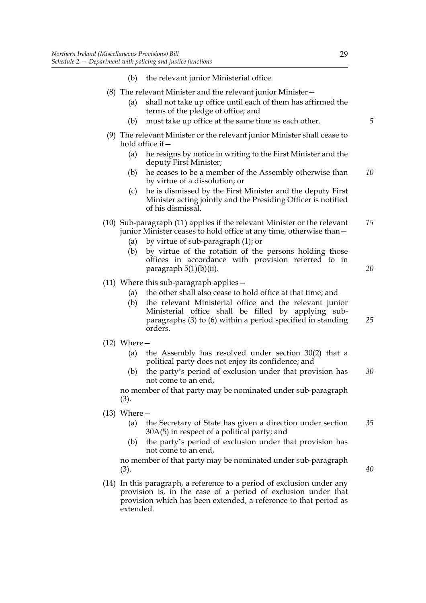- (8) The relevant Minister and the relevant junior Minister—
	- (a) shall not take up office until each of them has affirmed the terms of the pledge of office; and
	- (b) must take up office at the same time as each other.
- (9) The relevant Minister or the relevant junior Minister shall cease to hold office if—
	- (a) he resigns by notice in writing to the First Minister and the deputy First Minister;
	- (b) he ceases to be a member of the Assembly otherwise than by virtue of a dissolution; or *10*
	- (c) he is dismissed by the First Minister and the deputy First Minister acting jointly and the Presiding Officer is notified of his dismissal.
- (10) Sub-paragraph (11) applies if the relevant Minister or the relevant junior Minister ceases to hold office at any time, otherwise than— *15*
	- (a) by virtue of sub-paragraph (1); or
	- (b) by virtue of the rotation of the persons holding those offices in accordance with provision referred to in paragraph 5(1)(b)(ii).
- (11) Where this sub-paragraph applies—
	- (a) the other shall also cease to hold office at that time; and
	- (b) the relevant Ministerial office and the relevant junior Ministerial office shall be filled by applying subparagraphs (3) to (6) within a period specified in standing orders. *25*
- (12) Where—
	- (a) the Assembly has resolved under section 30(2) that a political party does not enjoy its confidence; and
	- (b) the party's period of exclusion under that provision has not come to an end, *30*

no member of that party may be nominated under sub-paragraph (3).

- (13) Where—
	- (a) the Secretary of State has given a direction under section 30A(5) in respect of a political party; and *35*
	- (b) the party's period of exclusion under that provision has not come to an end,

no member of that party may be nominated under sub-paragraph (3).

(14) In this paragraph, a reference to a period of exclusion under any provision is, in the case of a period of exclusion under that provision which has been extended, a reference to that period as extended.

*5*

*20*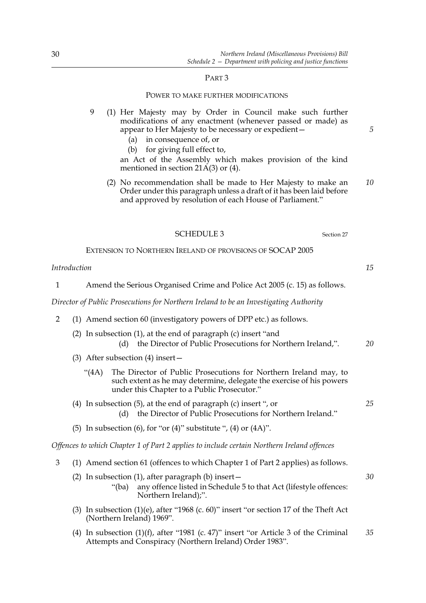#### PART 3

#### POWER TO MAKE FURTHER MODIFICATIONS

- 9 (1) Her Majesty may by Order in Council make such further modifications of any enactment (whenever passed or made) as appear to Her Majesty to be necessary or expedient—
	- (a) in consequence of, or
	- (b) for giving full effect to,

an Act of the Assembly which makes provision of the kind mentioned in section  $21\text{\AA}(3)$  or (4).

(2) No recommendation shall be made to Her Majesty to make an Order under this paragraph unless a draft of it has been laid before and approved by resolution of each House of Parliament." *10*

#### SCHEDULE 3 Section 27

EXTENSION TO NORTHERN IRELAND OF PROVISIONS OF SOCAP 2005

#### *Introduction*

| Amend the Serious Organised Crime and Police Act 2005 (c. 15) as follows. |
|---------------------------------------------------------------------------|
|---------------------------------------------------------------------------|

*Director of Public Prosecutions for Northern Ireland to be an Investigating Authority*

- 2 (1) Amend section 60 (investigatory powers of DPP etc.) as follows.
	- (2) In subsection (1), at the end of paragraph (c) insert "and (d) the Director of Public Prosecutions for Northern Ireland,". *20*
	- (3) After subsection (4) insert—
		- "(4A) The Director of Public Prosecutions for Northern Ireland may, to such extent as he may determine, delegate the exercise of his powers under this Chapter to a Public Prosecutor."
	- (4) In subsection (5), at the end of paragraph (c) insert ", or (d) the Director of Public Prosecutions for Northern Ireland."
	- (5) In subsection (6), for "or (4)" substitute ", (4) or  $(4A)$ ".

Northern Ireland);".

*Offences to which Chapter 1 of Part 2 applies to include certain Northern Ireland offences*

- 3 (1) Amend section 61 (offences to which Chapter 1 of Part 2 applies) as follows.
	- (2) In subsection (1), after paragraph (b) insert— "(ba) any offence listed in Schedule 5 to that Act (lifestyle offences:
	- (3) In subsection (1)(e), after "1968 (c. 60)" insert "or section 17 of the Theft Act (Northern Ireland) 1969".
	- (4) In subsection (1)(f), after "1981 (c. 47)" insert "or Article 3 of the Criminal Attempts and Conspiracy (Northern Ireland) Order 1983". *35*

*15*

*5*

*25*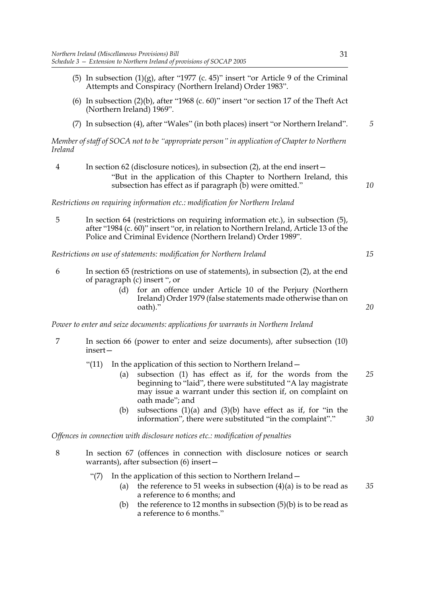- (5) In subsection  $(1)(g)$ , after "1977 (c. 45)" insert "or Article 9 of the Criminal Attempts and Conspiracy (Northern Ireland) Order 1983".
- (6) In subsection (2)(b), after "1968 (c. 60)" insert "or section 17 of the Theft Act (Northern Ireland) 1969".
- (7) In subsection (4), after "Wales" (in both places) insert "or Northern Ireland". *5*

*Member of staff of SOCA not to be "appropriate person" in application of Chapter to Northern Ireland*

4 In section 62 (disclosure notices), in subsection (2), at the end insert— "But in the application of this Chapter to Northern Ireland, this subsection has effect as if paragraph (b) were omitted."

*Restrictions on requiring information etc.: modification for Northern Ireland*

5 In section 64 (restrictions on requiring information etc.), in subsection (5), after "1984 (c. 60)" insert "or, in relation to Northern Ireland, Article 13 of the Police and Criminal Evidence (Northern Ireland) Order 1989".

*Restrictions on use of statements: modification for Northern Ireland*

- 6 In section 65 (restrictions on use of statements), in subsection (2), at the end of paragraph (c) insert ", or
	- (d) for an offence under Article 10 of the Perjury (Northern Ireland) Order 1979 (false statements made otherwise than on oath)."

*Power to enter and seize documents: applications for warrants in Northern Ireland*

- 7 In section 66 (power to enter and seize documents), after subsection (10) insert—
	- "(11) In the application of this section to Northern Ireland—
		- (a) subsection (1) has effect as if, for the words from the beginning to "laid", there were substituted "A lay magistrate may issue a warrant under this section if, on complaint on oath made"; and *25*
		- (b) subsections  $(1)(a)$  and  $(3)(b)$  have effect as if, for "in the information", there were substituted "in the complaint"."

*Offences in connection with disclosure notices etc.: modification of penalties*

- 8 In section 67 (offences in connection with disclosure notices or search warrants), after subsection (6) insert—
	- "(7) In the application of this section to Northern Ireland—
		- (a) the reference to 51 weeks in subsection  $(4)(a)$  is to be read as a reference to 6 months; and *35*
		- (b) the reference to 12 months in subsection  $(5)(b)$  is to be read as a reference to 6 months."

31

*20*

*15*

*10*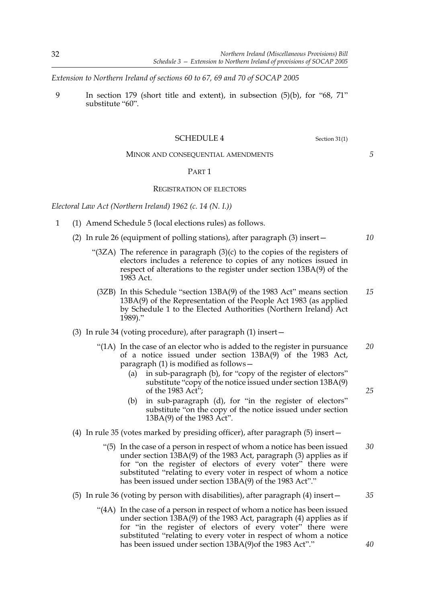*Extension to Northern Ireland of sections 60 to 67, 69 and 70 of SOCAP 2005*

9 In section 179 (short title and extent), in subsection (5)(b), for "68, 71" substitute "60".

#### SCHEDULE 4 Section 31(1)

MINOR AND CONSEQUENTIAL AMENDMENTS

#### PART 1

#### REGISTRATION OF ELECTORS

*Electoral Law Act (Northern Ireland) 1962 (c. 14 (N. I.))*

- 1 (1) Amend Schedule 5 (local elections rules) as follows.
	- (2) In rule 26 (equipment of polling stations), after paragraph (3) insert—
		- "(3ZA) The reference in paragraph (3)(c) to the copies of the registers of electors includes a reference to copies of any notices issued in respect of alterations to the register under section 13BA(9) of the 1983 Act.
			- (3ZB) In this Schedule "section 13BA(9) of the 1983 Act" means section 13BA(9) of the Representation of the People Act 1983 (as applied by Schedule 1 to the Elected Authorities (Northern Ireland) Act  $1989$ ." *15*
	- (3) In rule 34 (voting procedure), after paragraph (1) insert—
		- "(1A) In the case of an elector who is added to the register in pursuance of a notice issued under section 13BA(9) of the 1983 Act, paragraph (1) is modified as follows— *20*
			- (a) in sub-paragraph (b), for "copy of the register of electors" substitute "copy of the notice issued under section 13BA(9) of the 1983 Act";
			- (b) in sub-paragraph (d), for "in the register of electors" substitute "on the copy of the notice issued under section 13BA(9) of the 1983 Act".
	- (4) In rule 35 (votes marked by presiding officer), after paragraph (5) insert—
		- "(5) In the case of a person in respect of whom a notice has been issued under section 13BA(9) of the 1983 Act, paragraph (3) applies as if for "on the register of electors of every voter" there were substituted "relating to every voter in respect of whom a notice has been issued under section 13BA(9) of the 1983 Act"." *30*

#### (5) In rule 36 (voting by person with disabilities), after paragraph (4) insert—

 "(4A) In the case of a person in respect of whom a notice has been issued under section 13BA(9) of the 1983 Act, paragraph (4) applies as if for "in the register of electors of every voter" there were substituted "relating to every voter in respect of whom a notice has been issued under section 13BA(9)of the 1983 Act"."

*40*

*10*

*5*

*25*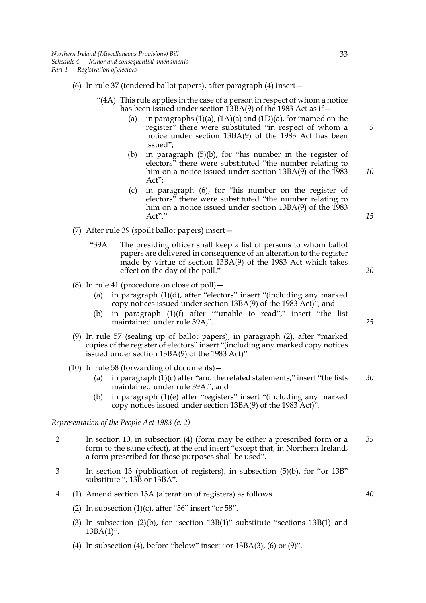- (6) In rule 37 (tendered ballot papers), after paragraph (4) insert—
	- "(4A) This rule applies in the case of a person in respect of whom a notice has been issued under section 13BA(9) of the 1983 Act as if -
		- (a) in paragraphs  $(1)(a)$ ,  $(1A)(a)$  and  $(1D)(a)$ , for "named on the register" there were substituted "in respect of whom a notice under section 13BA(9) of the 1983 Act has been issued";
		- (b) in paragraph (5)(b), for "his number in the register of electors" there were substituted "the number relating to him on a notice issued under section 13BA(9) of the 1983 Act";
		- (c) in paragraph (6), for "his number on the register of electors" there were substituted "the number relating to him on a notice issued under section 13BA(9) of the 1983 Act"."
- (7) After rule 39 (spoilt ballot papers) insert—
	- "39A The presiding officer shall keep a list of persons to whom ballot papers are delivered in consequence of an alteration to the register made by virtue of section 13BA(9) of the 1983 Act which takes effect on the day of the poll."
- (8) In rule 41 (procedure on close of poll)—
	- (a) in paragraph  $(1)(d)$ , after "electors" insert "(including any marked copy notices issued under section 13BA(9) of the 1983 Act)", and
	- (b) in paragraph (1)(f) after ""unable to read"," insert "the list maintained under rule 39A,".
- (9) In rule 57 (sealing up of ballot papers), in paragraph (2), after "marked copies of the register of electors" insert "(including any marked copy notices issued under section 13BA(9) of the 1983 Act)".
- (10) In rule 58 (forwarding of documents)—
	- (a) in paragraph (1)(c) after "and the related statements," insert "the lists maintained under rule 39A,", and *30*
	- (b) in paragraph (1)(e) after "registers" insert "(including any marked copy notices issued under section 13BA(9) of the 1983 Act)".

*Representation of the People Act 1983 (c. 2)*

- 2 In section 10, in subsection (4) (form may be either a prescribed form or a form to the same effect), at the end insert "except that, in Northern Ireland, a form prescribed for those purposes shall be used".
- 3 In section 13 (publication of registers), in subsection (5)(b), for "or 13B" substitute ", 13B or 13BA".
- 4 (1) Amend section 13A (alteration of registers) as follows.
	- (2) In subsection  $(1)(c)$ , after "56" insert "or 58".
	- (3) In subsection  $(2)(b)$ , for "section  $13B(1)$ " substitute "sections  $13B(1)$  and 13BA(1)".
	- (4) In subsection (4), before "below" insert "or 13BA(3), (6) or (9)".

*25*

*20*

*5*

*10*

*15*

*35*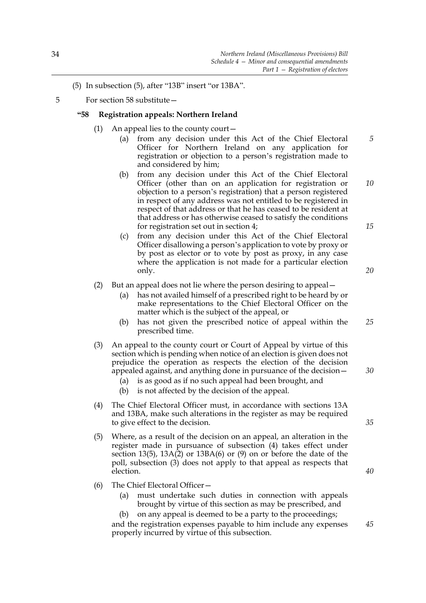- (5) In subsection (5), after "13B" insert "or 13BA".
- 5 For section 58 substitute—

#### **"58 Registration appeals: Northern Ireland**

- (1) An appeal lies to the county court—
	- (a) from any decision under this Act of the Chief Electoral Officer for Northern Ireland on any application for registration or objection to a person's registration made to and considered by him;
	- (b) from any decision under this Act of the Chief Electoral Officer (other than on an application for registration or objection to a person's registration) that a person registered in respect of any address was not entitled to be registered in respect of that address or that he has ceased to be resident at that address or has otherwise ceased to satisfy the conditions for registration set out in section 4;
	- (c) from any decision under this Act of the Chief Electoral Officer disallowing a person's application to vote by proxy or by post as elector or to vote by post as proxy, in any case where the application is not made for a particular election only.
- (2) But an appeal does not lie where the person desiring to appeal—
	- (a) has not availed himself of a prescribed right to be heard by or make representations to the Chief Electoral Officer on the matter which is the subject of the appeal, or
	- (b) has not given the prescribed notice of appeal within the prescribed time. *25*
- (3) An appeal to the county court or Court of Appeal by virtue of this section which is pending when notice of an election is given does not prejudice the operation as respects the election of the decision appealed against, and anything done in pursuance of the decision—
	- (a) is as good as if no such appeal had been brought, and
	- (b) is not affected by the decision of the appeal.
- (4) The Chief Electoral Officer must, in accordance with sections 13A and 13BA, make such alterations in the register as may be required to give effect to the decision.
- (5) Where, as a result of the decision on an appeal, an alteration in the register made in pursuance of subsection (4) takes effect under section 13(5), 13A(2) or 13BA(6) or (9) on or before the date of the poll, subsection (3) does not apply to that appeal as respects that election.
- (6) The Chief Electoral Officer—
	- (a) must undertake such duties in connection with appeals brought by virtue of this section as may be prescribed, and

(b) on any appeal is deemed to be a party to the proceedings; and the registration expenses payable to him include any expenses properly incurred by virtue of this subsection.

*10*

*5*

*15*

*20*

*30*

*35*

*40*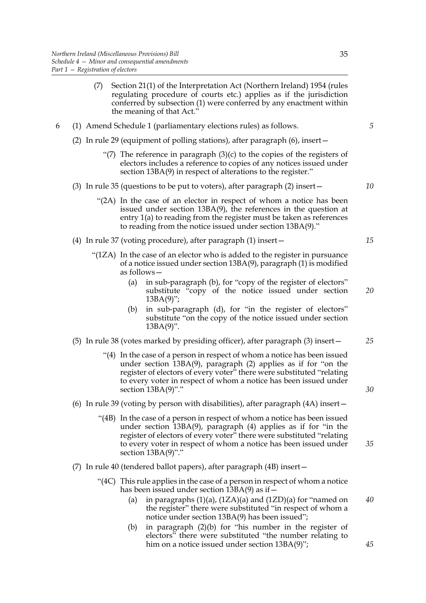- (7) Section 21(1) of the Interpretation Act (Northern Ireland) 1954 (rules regulating procedure of courts etc.) applies as if the jurisdiction conferred by subsection (1) were conferred by any enactment within the meaning of that Act."
- 6 (1) Amend Schedule 1 (parliamentary elections rules) as follows.
	- (2) In rule 29 (equipment of polling stations), after paragraph (6), insert—
		- "(7) The reference in paragraph  $(3)(c)$  to the copies of the registers of electors includes a reference to copies of any notices issued under section 13BA(9) in respect of alterations to the register."
	- (3) In rule 35 (questions to be put to voters), after paragraph (2) insert—
		- "(2A) In the case of an elector in respect of whom a notice has been issued under section 13BA(9), the references in the question at entry 1(a) to reading from the register must be taken as references to reading from the notice issued under section 13BA(9)."
	- (4) In rule 37 (voting procedure), after paragraph (1) insert—
		- "(1ZA) In the case of an elector who is added to the register in pursuance of a notice issued under section 13BA(9), paragraph (1) is modified as follows—
			- (a) in sub-paragraph (b), for "copy of the register of electors" substitute "copy of the notice issued under section  $13BA(9)$ ";
			- (b) in sub-paragraph (d), for "in the register of electors" substitute "on the copy of the notice issued under section 13BA(9)".
	- (5) In rule 38 (votes marked by presiding officer), after paragraph (3) insert— *25*
		- "(4) In the case of a person in respect of whom a notice has been issued under section 13BA(9), paragraph (2) applies as if for "on the register of electors of every voter" there were substituted "relating to every voter in respect of whom a notice has been issued under section 13BA(9)"."
	- (6) In rule 39 (voting by person with disabilities), after paragraph (4A) insert—
		- "(4B) In the case of a person in respect of whom a notice has been issued under section 13BA(9), paragraph (4) applies as if for "in the register of electors of every voter" there were substituted "relating to every voter in respect of whom a notice has been issued under section  $13BA(9)$ "." *35*
	- (7) In rule 40 (tendered ballot papers), after paragraph (4B) insert—
		- "(4C) This rule applies in the case of a person in respect of whom a notice has been issued under section 13BA(9) as if -
			- (a) in paragraphs  $(1)(a)$ ,  $(1ZA)(a)$  and  $(1ZD)(a)$  for "named on the register" there were substituted "in respect of whom a notice under section 13BA(9) has been issued";
			- (b) in paragraph (2)(b) for "his number in the register of electors" there were substituted "the number relating to him on a notice issued under section 13BA(9)";

*5*

*10*

*15*

*20*

*30*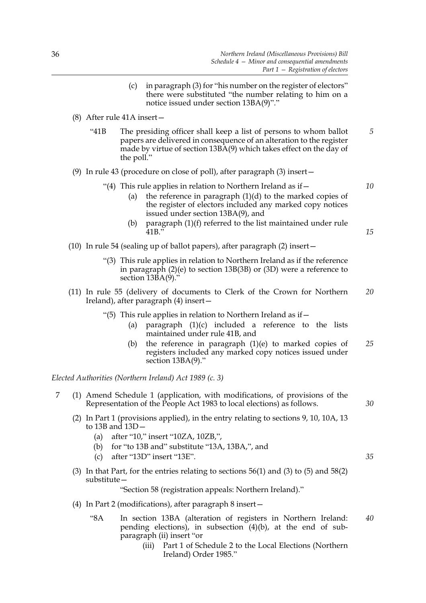- (c) in paragraph (3) for "his number on the register of electors" there were substituted "the number relating to him on a notice issued under section 13BA(9)"."
- (8) After rule 41A insert—
	- "41B The presiding officer shall keep a list of persons to whom ballot papers are delivered in consequence of an alteration to the register made by virtue of section 13BA(9) which takes effect on the day of the poll." *5*
- (9) In rule 43 (procedure on close of poll), after paragraph (3) insert—
	- "(4) This rule applies in relation to Northern Ireland as if  $-$ 
		- (a) the reference in paragraph  $(1)(d)$  to the marked copies of the register of electors included any marked copy notices issued under section 13BA(9), and
		- (b) paragraph (1)(f) referred to the list maintained under rule  $41B.$ "
- (10) In rule 54 (sealing up of ballot papers), after paragraph (2) insert—
	- "(3) This rule applies in relation to Northern Ireland as if the reference in paragraph (2)(e) to section 13B(3B) or (3D) were a reference to section  $\overline{1}3\overline{B}A(9)$ .
- (11) In rule 55 (delivery of documents to Clerk of the Crown for Northern Ireland), after paragraph (4) insert— *20*
	- "(5) This rule applies in relation to Northern Ireland as if  $-$ 
		- (a) paragraph  $(1)(c)$  included a reference to the lists maintained under rule 41B, and
		- (b) the reference in paragraph  $(1)(e)$  to marked copies of registers included any marked copy notices issued under section 13BA(9)." *25*

*Elected Authorities (Northern Ireland) Act 1989 (c. 3)*

- 7 (1) Amend Schedule 1 (application, with modifications, of provisions of the Representation of the People Act 1983 to local elections) as follows.
	- (2) In Part 1 (provisions applied), in the entry relating to sections 9, 10, 10A, 13 to 13B and 13D—
		- (a) after "10," insert "10ZA, 10ZB,",
		- (b) for "to 13B and" substitute "13A, 13BA,", and
		- (c) after "13D" insert "13E".
	- (3) In that Part, for the entries relating to sections 56(1) and (3) to (5) and 58(2) substitute—

"Section 58 (registration appeals: Northern Ireland)."

- (4) In Part 2 (modifications), after paragraph 8 insert—
	- "8A In section 13BA (alteration of registers in Northern Ireland: pending elections), in subsection  $(4)(b)$ , at the end of subparagraph (ii) insert "or *40*
		- (iii) Part 1 of Schedule 2 to the Local Elections (Northern Ireland) Order 1985."

*35*

*30*

*10*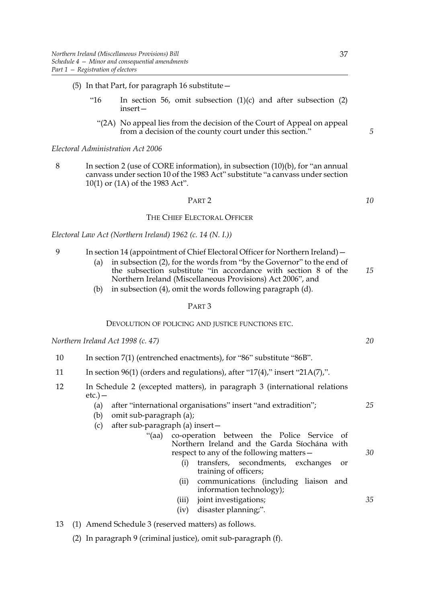- (5) In that Part, for paragraph 16 substitute—
	- "16 In section 56, omit subsection (1)(c) and after subsection (2) insert—
		- "(2A) No appeal lies from the decision of the Court of Appeal on appeal from a decision of the county court under this section."

#### *Electoral Administration Act 2006*

8 In section 2 (use of CORE information), in subsection (10)(b), for "an annual canvass under section 10 of the 1983 Act" substitute "a canvass under section 10(1) or (1A) of the 1983 Act".

#### PART 2

#### THE CHIEF ELECTORAL OFFICER

*Electoral Law Act (Northern Ireland) 1962 (c. 14 (N. I.))*

- 9 In section 14 (appointment of Chief Electoral Officer for Northern Ireland)—
	- (a) in subsection (2), for the words from "by the Governor" to the end of the subsection substitute "in accordance with section 8 of the Northern Ireland (Miscellaneous Provisions) Act 2006", and *15*
	- (b) in subsection (4), omit the words following paragraph (d).

#### PART 3

#### DEVOLUTION OF POLICING AND JUSTICE FUNCTIONS ETC.

*Northern Ireland Act 1998 (c. 47)*

- 10 In section 7(1) (entrenched enactments), for "86" substitute "86B".
- 11 In section 96(1) (orders and regulations), after "17(4)," insert "21A(7),".
- 12 In Schedule 2 (excepted matters), in paragraph 3 (international relations  $etc.$ ) —
	- (a) after "international organisations" insert "and extradition";
	- (b) omit sub-paragraph (a);
	- (c) after sub-paragraph (a) insert—
		- "(aa) co-operation between the Police Service of Northern Ireland and the Garda Síochána with respect to any of the following matters—
			- (i) transfers, secondments, exchanges or training of officers;
			- (ii) communications (including liaison and information technology);
			- (iii) joint investigations;
			- (iv) disaster planning;".
- 13 (1) Amend Schedule 3 (reserved matters) as follows.
	- (2) In paragraph 9 (criminal justice), omit sub-paragraph (f).

*5*

*10*

*20*

*25*

*30*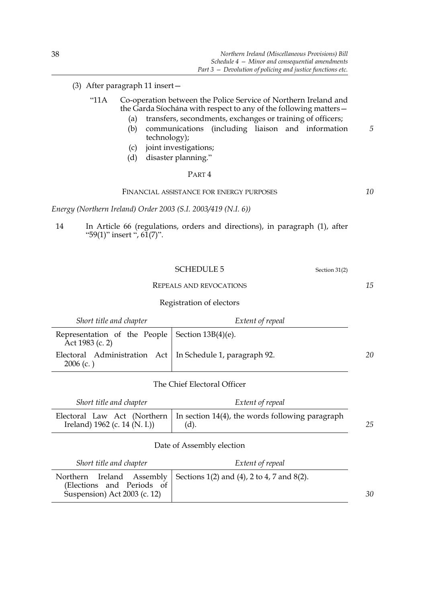#### (3) After paragraph 11 insert—

| "11 A | Co-operation between the Police Service of Northern Ireland and   |
|-------|-------------------------------------------------------------------|
|       | the Garda Síochána with respect to any of the following matters - |

- (a) transfers, secondments, exchanges or training of officers;
- (b) communications (including liaison and information technology); *5*
- (c) joint investigations;
- (d) disaster planning."

#### PART 4

#### FINANCIAL ASSISTANCE FOR ENERGY PURPOSES

*Energy (Northern Ireland) Order 2003 (S.I. 2003/419 (N.I. 6))*

14 In Article 66 (regulations, orders and directions), in paragraph (1), after "59(1)" insert ",  $61(7)$ ".

| <b>SCHEDULE 5</b>       | Section 31(2) |  |
|-------------------------|---------------|--|
| REPEALS AND REVOCATIONS |               |  |

#### REPEALS AND REVOCATIONS

Registration of electors

| Short title and chapter                                                 | Extent of repeal |    |
|-------------------------------------------------------------------------|------------------|----|
| Representation of the People Section $13B(4)(e)$ .<br>Act 1983 (c. 2)   |                  |    |
| Electoral Administration Act   In Schedule 1, paragraph 92.<br>2006(c.) |                  | 20 |

#### The Chief Electoral Officer

| Short title and chapter                                      | Extent of repeal                                           |    |
|--------------------------------------------------------------|------------------------------------------------------------|----|
| Electoral Law Act (Northern<br>Ireland) 1962 (c. 14 (N. I.)) | In section $14(4)$ , the words following paragraph<br>(d). | 25 |
| Date of Assembly election                                    |                                                            |    |
| Short title and chanter                                      | Extent of reneal                                           |    |

| onon uu uu cuupun            | $L$ $\mathcal{N}$ $\mathcal{N}$ $\mathcal{N}$ $\mathcal{N}$ $\mathcal{N}$ $\mathcal{N}$ $\mathcal{N}$ |    |
|------------------------------|-------------------------------------------------------------------------------------------------------|----|
|                              | Northern Ireland Assembly Sections $1(2)$ and $(4)$ , 2 to 4, 7 and 8(2).                             |    |
| (Elections and Periods of    |                                                                                                       |    |
| Suspension) Act 2003 (c. 12) |                                                                                                       | 30 |
|                              |                                                                                                       |    |